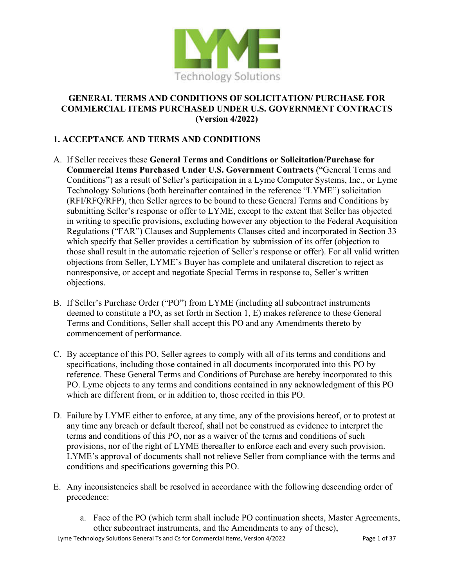

#### **GENERAL TERMS AND CONDITIONS OF SOLICITATION/ PURCHASE FOR COMMERCIAL ITEMS PURCHASED UNDER U.S. GOVERNMENT CONTRACTS (Version 4/2022)**

# **1. ACCEPTANCE AND TERMS AND CONDITIONS**

- A. If Seller receives these **General Terms and Conditions or Solicitation/Purchase for Commercial Items Purchased Under U.S. Government Contracts** ("General Terms and Conditions") as a result of Seller's participation in a Lyme Computer Systems, Inc., or Lyme Technology Solutions (both hereinafter contained in the reference "LYME") solicitation (RFI/RFQ/RFP), then Seller agrees to be bound to these General Terms and Conditions by submitting Seller's response or offer to LYME, except to the extent that Seller has objected in writing to specific provisions, excluding however any objection to the Federal Acquisition Regulations ("FAR") Clauses and Supplements Clauses cited and incorporated in Section 33 which specify that Seller provides a certification by submission of its offer (objection to those shall result in the automatic rejection of Seller's response or offer). For all valid written objections from Seller, LYME's Buyer has complete and unilateral discretion to reject as nonresponsive, or accept and negotiate Special Terms in response to, Seller's written objections.
- B. If Seller's Purchase Order ("PO") from LYME (including all subcontract instruments deemed to constitute a PO, as set forth in Section 1, E) makes reference to these General Terms and Conditions, Seller shall accept this PO and any Amendments thereto by commencement of performance.
- C. By acceptance of this PO, Seller agrees to comply with all of its terms and conditions and specifications, including those contained in all documents incorporated into this PO by reference. These General Terms and Conditions of Purchase are hereby incorporated to this PO. Lyme objects to any terms and conditions contained in any acknowledgment of this PO which are different from, or in addition to, those recited in this PO.
- D. Failure by LYME either to enforce, at any time, any of the provisions hereof, or to protest at any time any breach or default thereof, shall not be construed as evidence to interpret the terms and conditions of this PO, nor as a waiver of the terms and conditions of such provisions, nor of the right of LYME thereafter to enforce each and every such provision. LYME's approval of documents shall not relieve Seller from compliance with the terms and conditions and specifications governing this PO.
- E. Any inconsistencies shall be resolved in accordance with the following descending order of precedence:
	- a. Face of the PO (which term shall include PO continuation sheets, Master Agreements, other subcontract instruments, and the Amendments to any of these),

Lyme Technology Solutions General Ts and Cs for Commercial Items, Version 4/2022 Page 1 of 37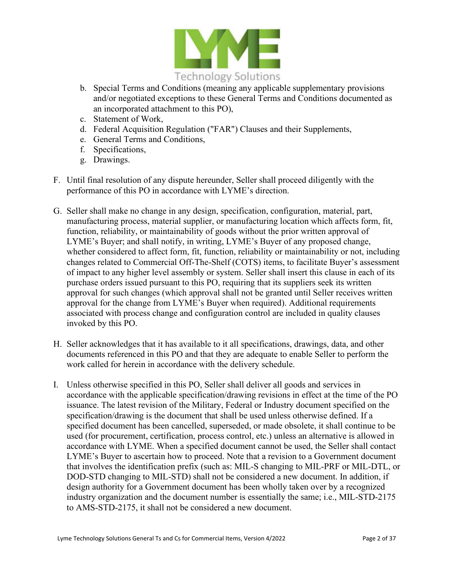

- b. Special Terms and Conditions (meaning any applicable supplementary provisions and/or negotiated exceptions to these General Terms and Conditions documented as an incorporated attachment to this PO),
- c. Statement of Work,
- d. Federal Acquisition Regulation ("FAR") Clauses and their Supplements,
- e. General Terms and Conditions,
- f. Specifications,
- g. Drawings.
- F. Until final resolution of any dispute hereunder, Seller shall proceed diligently with the performance of this PO in accordance with LYME's direction.
- G. Seller shall make no change in any design, specification, configuration, material, part, manufacturing process, material supplier, or manufacturing location which affects form, fit, function, reliability, or maintainability of goods without the prior written approval of LYME's Buyer; and shall notify, in writing, LYME's Buyer of any proposed change, whether considered to affect form, fit, function, reliability or maintainability or not, including changes related to Commercial Off-The-Shelf (COTS) items, to facilitate Buyer's assessment of impact to any higher level assembly or system. Seller shall insert this clause in each of its purchase orders issued pursuant to this PO, requiring that its suppliers seek its written approval for such changes (which approval shall not be granted until Seller receives written approval for the change from LYME's Buyer when required). Additional requirements associated with process change and configuration control are included in quality clauses invoked by this PO.
- H. Seller acknowledges that it has available to it all specifications, drawings, data, and other documents referenced in this PO and that they are adequate to enable Seller to perform the work called for herein in accordance with the delivery schedule.
- I. Unless otherwise specified in this PO, Seller shall deliver all goods and services in accordance with the applicable specification/drawing revisions in effect at the time of the PO issuance. The latest revision of the Military, Federal or Industry document specified on the specification/drawing is the document that shall be used unless otherwise defined. If a specified document has been cancelled, superseded, or made obsolete, it shall continue to be used (for procurement, certification, process control, etc.) unless an alternative is allowed in accordance with LYME. When a specified document cannot be used, the Seller shall contact LYME's Buyer to ascertain how to proceed. Note that a revision to a Government document that involves the identification prefix (such as: MIL-S changing to MIL-PRF or MIL-DTL, or DOD-STD changing to MIL-STD) shall not be considered a new document. In addition, if design authority for a Government document has been wholly taken over by a recognized industry organization and the document number is essentially the same; i.e., MIL-STD-2175 to AMS-STD-2175, it shall not be considered a new document.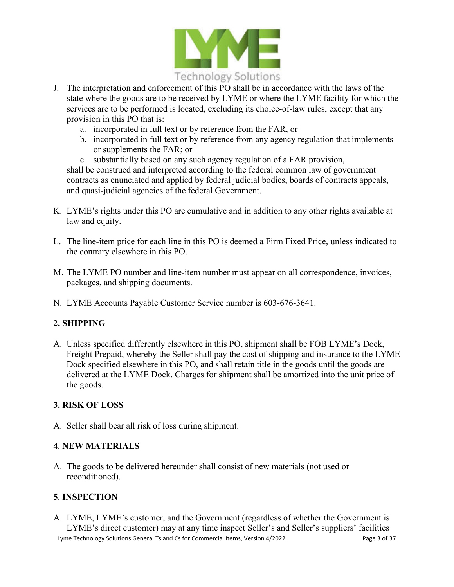

- J. The interpretation and enforcement of this PO shall be in accordance with the laws of the state where the goods are to be received by LYME or where the LYME facility for which the services are to be performed is located, excluding its choice-of-law rules, except that any provision in this PO that is:
	- a. incorporated in full text or by reference from the FAR, or
	- b. incorporated in full text or by reference from any agency regulation that implements or supplements the FAR; or
	- c. substantially based on any such agency regulation of a FAR provision,

shall be construed and interpreted according to the federal common law of government contracts as enunciated and applied by federal judicial bodies, boards of contracts appeals, and quasi-judicial agencies of the federal Government.

- K. LYME's rights under this PO are cumulative and in addition to any other rights available at law and equity.
- L. The line-item price for each line in this PO is deemed a Firm Fixed Price, unless indicated to the contrary elsewhere in this PO.
- M. The LYME PO number and line-item number must appear on all correspondence, invoices, packages, and shipping documents.
- N. LYME Accounts Payable Customer Service number is 603-676-3641.

## **2. SHIPPING**

A. Unless specified differently elsewhere in this PO, shipment shall be FOB LYME's Dock, Freight Prepaid, whereby the Seller shall pay the cost of shipping and insurance to the LYME Dock specified elsewhere in this PO, and shall retain title in the goods until the goods are delivered at the LYME Dock. Charges for shipment shall be amortized into the unit price of the goods.

## **3. RISK OF LOSS**

A. Seller shall bear all risk of loss during shipment.

## **4**. **NEW MATERIALS**

A. The goods to be delivered hereunder shall consist of new materials (not used or reconditioned).

## **5**. **INSPECTION**

Lyme Technology Solutions General Ts and Cs for Commercial Items, Version 4/2022 Page 3 of 37 A. LYME, LYME's customer, and the Government (regardless of whether the Government is LYME's direct customer) may at any time inspect Seller's and Seller's suppliers' facilities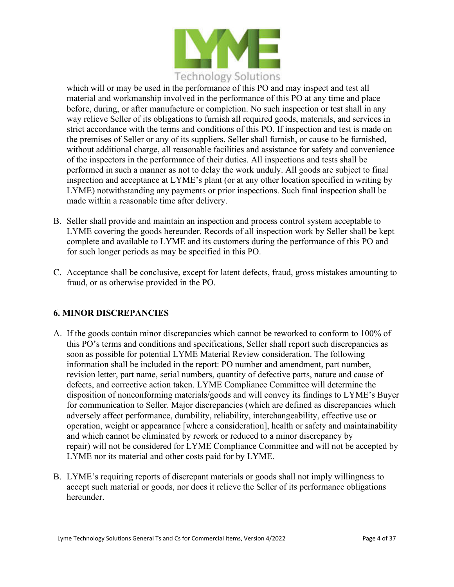

which will or may be used in the performance of this PO and may inspect and test all material and workmanship involved in the performance of this PO at any time and place before, during, or after manufacture or completion. No such inspection or test shall in any way relieve Seller of its obligations to furnish all required goods, materials, and services in strict accordance with the terms and conditions of this PO. If inspection and test is made on the premises of Seller or any of its suppliers, Seller shall furnish, or cause to be furnished, without additional charge, all reasonable facilities and assistance for safety and convenience of the inspectors in the performance of their duties. All inspections and tests shall be performed in such a manner as not to delay the work unduly. All goods are subject to final inspection and acceptance at LYME's plant (or at any other location specified in writing by LYME) notwithstanding any payments or prior inspections. Such final inspection shall be made within a reasonable time after delivery.

- B. Seller shall provide and maintain an inspection and process control system acceptable to LYME covering the goods hereunder. Records of all inspection work by Seller shall be kept complete and available to LYME and its customers during the performance of this PO and for such longer periods as may be specified in this PO.
- C. Acceptance shall be conclusive, except for latent defects, fraud, gross mistakes amounting to fraud, or as otherwise provided in the PO.

# **6. MINOR DISCREPANCIES**

- A. If the goods contain minor discrepancies which cannot be reworked to conform to 100% of this PO's terms and conditions and specifications, Seller shall report such discrepancies as soon as possible for potential LYME Material Review consideration. The following information shall be included in the report: PO number and amendment, part number, revision letter, part name, serial numbers, quantity of defective parts, nature and cause of defects, and corrective action taken. LYME Compliance Committee will determine the disposition of nonconforming materials/goods and will convey its findings to LYME's Buyer for communication to Seller. Major discrepancies (which are defined as discrepancies which adversely affect performance, durability, reliability, interchangeability, effective use or operation, weight or appearance [where a consideration], health or safety and maintainability and which cannot be eliminated by rework or reduced to a minor discrepancy by repair) will not be considered for LYME Compliance Committee and will not be accepted by LYME nor its material and other costs paid for by LYME.
- B. LYME's requiring reports of discrepant materials or goods shall not imply willingness to accept such material or goods, nor does it relieve the Seller of its performance obligations hereunder.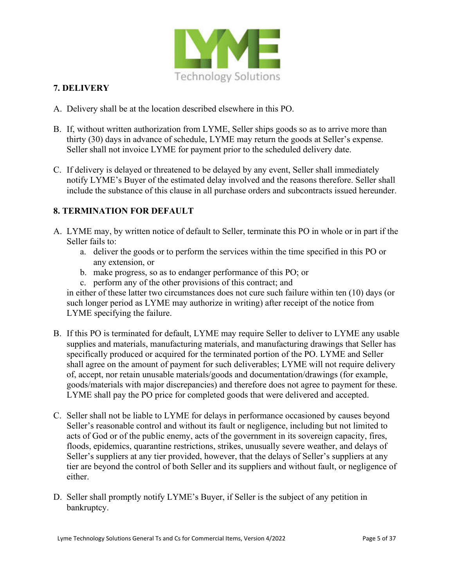

# **7. DELIVERY**

- A. Delivery shall be at the location described elsewhere in this PO.
- B. If, without written authorization from LYME, Seller ships goods so as to arrive more than thirty (30) days in advance of schedule, LYME may return the goods at Seller's expense. Seller shall not invoice LYME for payment prior to the scheduled delivery date.
- C. If delivery is delayed or threatened to be delayed by any event, Seller shall immediately notify LYME's Buyer of the estimated delay involved and the reasons therefore. Seller shall include the substance of this clause in all purchase orders and subcontracts issued hereunder.

## **8. TERMINATION FOR DEFAULT**

- A. LYME may, by written notice of default to Seller, terminate this PO in whole or in part if the Seller fails to:
	- a. deliver the goods or to perform the services within the time specified in this PO or any extension, or
	- b. make progress, so as to endanger performance of this PO; or
	- c. perform any of the other provisions of this contract; and

in either of these latter two circumstances does not cure such failure within ten (10) days (or such longer period as LYME may authorize in writing) after receipt of the notice from LYME specifying the failure.

- B. If this PO is terminated for default, LYME may require Seller to deliver to LYME any usable supplies and materials, manufacturing materials, and manufacturing drawings that Seller has specifically produced or acquired for the terminated portion of the PO. LYME and Seller shall agree on the amount of payment for such deliverables; LYME will not require delivery of, accept, nor retain unusable materials/goods and documentation/drawings (for example, goods/materials with major discrepancies) and therefore does not agree to payment for these. LYME shall pay the PO price for completed goods that were delivered and accepted.
- C. Seller shall not be liable to LYME for delays in performance occasioned by causes beyond Seller's reasonable control and without its fault or negligence, including but not limited to acts of God or of the public enemy, acts of the government in its sovereign capacity, fires, floods, epidemics, quarantine restrictions, strikes, unusually severe weather, and delays of Seller's suppliers at any tier provided, however, that the delays of Seller's suppliers at any tier are beyond the control of both Seller and its suppliers and without fault, or negligence of either.
- D. Seller shall promptly notify LYME's Buyer, if Seller is the subject of any petition in bankruptcy.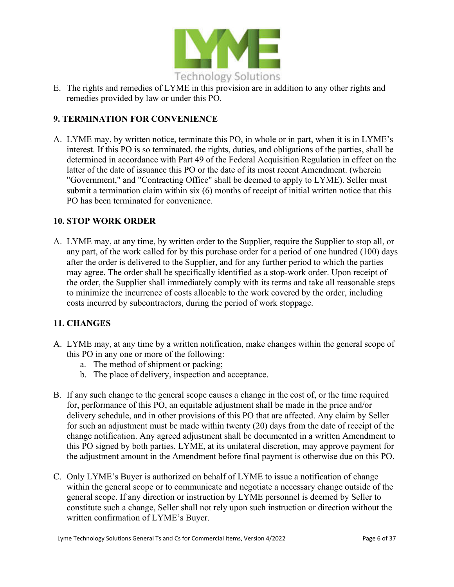

E. The rights and remedies of LYME in this provision are in addition to any other rights and remedies provided by law or under this PO.

## **9. TERMINATION FOR CONVENIENCE**

A. LYME may, by written notice, terminate this PO, in whole or in part, when it is in LYME's interest. If this PO is so terminated, the rights, duties, and obligations of the parties, shall be determined in accordance with Part 49 of the Federal Acquisition Regulation in effect on the latter of the date of issuance this PO or the date of its most recent Amendment. (wherein "Government," and "Contracting Office" shall be deemed to apply to LYME). Seller must submit a termination claim within six (6) months of receipt of initial written notice that this PO has been terminated for convenience.

#### **10. STOP WORK ORDER**

A. LYME may, at any time, by written order to the Supplier, require the Supplier to stop all, or any part, of the work called for by this purchase order for a period of one hundred (100) days after the order is delivered to the Supplier, and for any further period to which the parties may agree. The order shall be specifically identified as a stop-work order. Upon receipt of the order, the Supplier shall immediately comply with its terms and take all reasonable steps to minimize the incurrence of costs allocable to the work covered by the order, including costs incurred by subcontractors, during the period of work stoppage.

## **11. CHANGES**

- A. LYME may, at any time by a written notification, make changes within the general scope of this PO in any one or more of the following:
	- a. The method of shipment or packing;
	- b. The place of delivery, inspection and acceptance.
- B. If any such change to the general scope causes a change in the cost of, or the time required for, performance of this PO, an equitable adjustment shall be made in the price and/or delivery schedule, and in other provisions of this PO that are affected. Any claim by Seller for such an adjustment must be made within twenty (20) days from the date of receipt of the change notification. Any agreed adjustment shall be documented in a written Amendment to this PO signed by both parties. LYME, at its unilateral discretion, may approve payment for the adjustment amount in the Amendment before final payment is otherwise due on this PO.
- C. Only LYME's Buyer is authorized on behalf of LYME to issue a notification of change within the general scope or to communicate and negotiate a necessary change outside of the general scope. If any direction or instruction by LYME personnel is deemed by Seller to constitute such a change, Seller shall not rely upon such instruction or direction without the written confirmation of LYME's Buyer.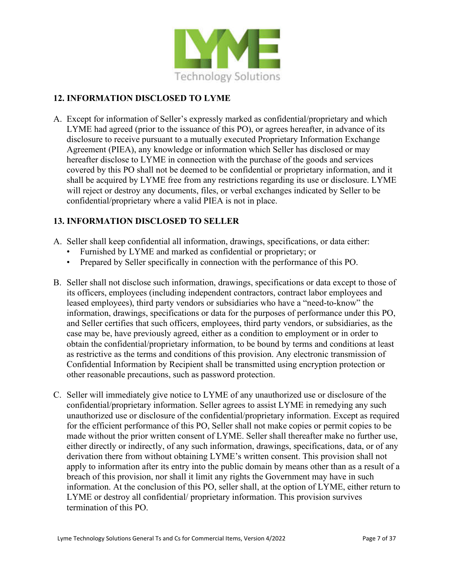

## **12. INFORMATION DISCLOSED TO LYME**

A. Except for information of Seller's expressly marked as confidential/proprietary and which LYME had agreed (prior to the issuance of this PO), or agrees hereafter, in advance of its disclosure to receive pursuant to a mutually executed Proprietary Information Exchange Agreement (PIEA), any knowledge or information which Seller has disclosed or may hereafter disclose to LYME in connection with the purchase of the goods and services covered by this PO shall not be deemed to be confidential or proprietary information, and it shall be acquired by LYME free from any restrictions regarding its use or disclosure. LYME will reject or destroy any documents, files, or verbal exchanges indicated by Seller to be confidential/proprietary where a valid PIEA is not in place.

# **13. INFORMATION DISCLOSED TO SELLER**

- A. Seller shall keep confidential all information, drawings, specifications, or data either:
	- Furnished by LYME and marked as confidential or proprietary; or
	- Prepared by Seller specifically in connection with the performance of this PO.
- B. Seller shall not disclose such information, drawings, specifications or data except to those of its officers, employees (including independent contractors, contract labor employees and leased employees), third party vendors or subsidiaries who have a "need-to-know" the information, drawings, specifications or data for the purposes of performance under this PO, and Seller certifies that such officers, employees, third party vendors, or subsidiaries, as the case may be, have previously agreed, either as a condition to employment or in order to obtain the confidential/proprietary information, to be bound by terms and conditions at least as restrictive as the terms and conditions of this provision. Any electronic transmission of Confidential Information by Recipient shall be transmitted using encryption protection or other reasonable precautions, such as password protection.
- C. Seller will immediately give notice to LYME of any unauthorized use or disclosure of the confidential/proprietary information. Seller agrees to assist LYME in remedying any such unauthorized use or disclosure of the confidential/proprietary information. Except as required for the efficient performance of this PO, Seller shall not make copies or permit copies to be made without the prior written consent of LYME. Seller shall thereafter make no further use, either directly or indirectly, of any such information, drawings, specifications, data, or of any derivation there from without obtaining LYME's written consent. This provision shall not apply to information after its entry into the public domain by means other than as a result of a breach of this provision, nor shall it limit any rights the Government may have in such information. At the conclusion of this PO, seller shall, at the option of LYME, either return to LYME or destroy all confidential/ proprietary information. This provision survives termination of this PO.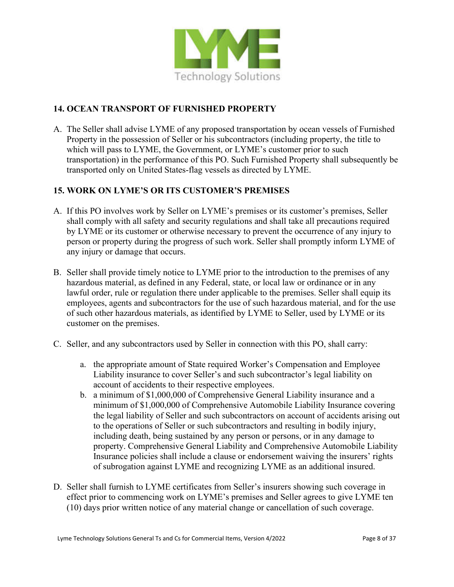

## **14. OCEAN TRANSPORT OF FURNISHED PROPERTY**

A. The Seller shall advise LYME of any proposed transportation by ocean vessels of Furnished Property in the possession of Seller or his subcontractors (including property, the title to which will pass to LYME, the Government, or LYME's customer prior to such transportation) in the performance of this PO. Such Furnished Property shall subsequently be transported only on United States-flag vessels as directed by LYME.

# **15. WORK ON LYME'S OR ITS CUSTOMER'S PREMISES**

- A. If this PO involves work by Seller on LYME's premises or its customer's premises, Seller shall comply with all safety and security regulations and shall take all precautions required by LYME or its customer or otherwise necessary to prevent the occurrence of any injury to person or property during the progress of such work. Seller shall promptly inform LYME of any injury or damage that occurs.
- B. Seller shall provide timely notice to LYME prior to the introduction to the premises of any hazardous material, as defined in any Federal, state, or local law or ordinance or in any lawful order, rule or regulation there under applicable to the premises. Seller shall equip its employees, agents and subcontractors for the use of such hazardous material, and for the use of such other hazardous materials, as identified by LYME to Seller, used by LYME or its customer on the premises.
- C. Seller, and any subcontractors used by Seller in connection with this PO, shall carry:
	- a. the appropriate amount of State required Worker's Compensation and Employee Liability insurance to cover Seller's and such subcontractor's legal liability on account of accidents to their respective employees.
	- b. a minimum of \$1,000,000 of Comprehensive General Liability insurance and a minimum of \$1,000,000 of Comprehensive Automobile Liability Insurance covering the legal liability of Seller and such subcontractors on account of accidents arising out to the operations of Seller or such subcontractors and resulting in bodily injury, including death, being sustained by any person or persons, or in any damage to property. Comprehensive General Liability and Comprehensive Automobile Liability Insurance policies shall include a clause or endorsement waiving the insurers' rights of subrogation against LYME and recognizing LYME as an additional insured.
- D. Seller shall furnish to LYME certificates from Seller's insurers showing such coverage in effect prior to commencing work on LYME's premises and Seller agrees to give LYME ten (10) days prior written notice of any material change or cancellation of such coverage.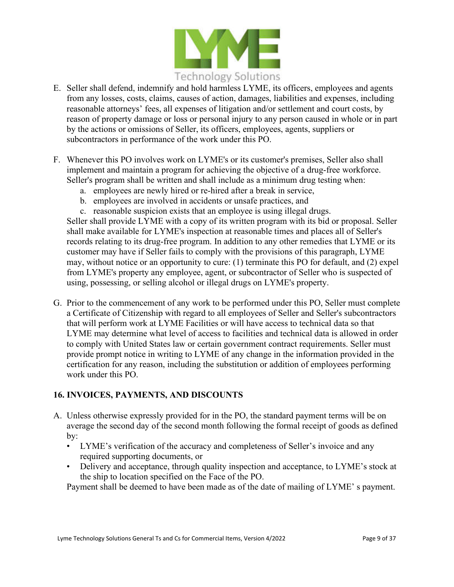

- E. Seller shall defend, indemnify and hold harmless LYME, its officers, employees and agents from any losses, costs, claims, causes of action, damages, liabilities and expenses, including reasonable attorneys' fees, all expenses of litigation and/or settlement and court costs, by reason of property damage or loss or personal injury to any person caused in whole or in part by the actions or omissions of Seller, its officers, employees, agents, suppliers or subcontractors in performance of the work under this PO.
- F. Whenever this PO involves work on LYME's or its customer's premises, Seller also shall implement and maintain a program for achieving the objective of a drug-free workforce. Seller's program shall be written and shall include as a minimum drug testing when:
	- a. employees are newly hired or re-hired after a break in service,
	- b. employees are involved in accidents or unsafe practices, and
	- c. reasonable suspicion exists that an employee is using illegal drugs.

Seller shall provide LYME with a copy of its written program with its bid or proposal. Seller shall make available for LYME's inspection at reasonable times and places all of Seller's records relating to its drug-free program. In addition to any other remedies that LYME or its customer may have if Seller fails to comply with the provisions of this paragraph, LYME may, without notice or an opportunity to cure: (1) terminate this PO for default, and (2) expel from LYME's property any employee, agent, or subcontractor of Seller who is suspected of using, possessing, or selling alcohol or illegal drugs on LYME's property.

G. Prior to the commencement of any work to be performed under this PO, Seller must complete a Certificate of Citizenship with regard to all employees of Seller and Seller's subcontractors that will perform work at LYME Facilities or will have access to technical data so that LYME may determine what level of access to facilities and technical data is allowed in order to comply with United States law or certain government contract requirements. Seller must provide prompt notice in writing to LYME of any change in the information provided in the certification for any reason, including the substitution or addition of employees performing work under this PO.

## **16. INVOICES, PAYMENTS, AND DISCOUNTS**

- A. Unless otherwise expressly provided for in the PO, the standard payment terms will be on average the second day of the second month following the formal receipt of goods as defined by:
	- LYME's verification of the accuracy and completeness of Seller's invoice and any required supporting documents, or
	- Delivery and acceptance, through quality inspection and acceptance, to LYME's stock at the ship to location specified on the Face of the PO.

Payment shall be deemed to have been made as of the date of mailing of LYME' s payment.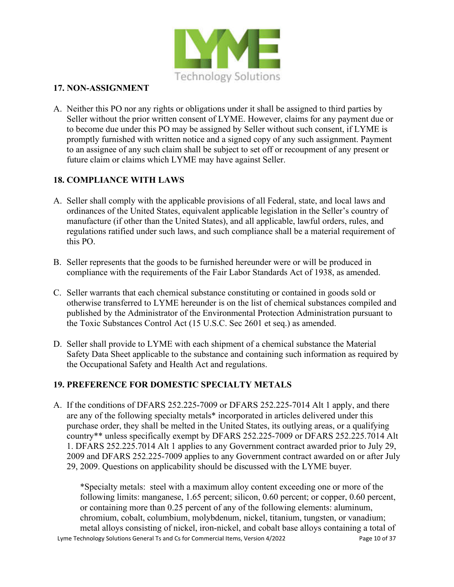

#### **17. NON-ASSIGNMENT**

A. Neither this PO nor any rights or obligations under it shall be assigned to third parties by Seller without the prior written consent of LYME. However, claims for any payment due or to become due under this PO may be assigned by Seller without such consent, if LYME is promptly furnished with written notice and a signed copy of any such assignment. Payment to an assignee of any such claim shall be subject to set off or recoupment of any present or future claim or claims which LYME may have against Seller.

# **18. COMPLIANCE WITH LAWS**

- A. Seller shall comply with the applicable provisions of all Federal, state, and local laws and ordinances of the United States, equivalent applicable legislation in the Seller's country of manufacture (if other than the United States), and all applicable, lawful orders, rules, and regulations ratified under such laws, and such compliance shall be a material requirement of this PO.
- B. Seller represents that the goods to be furnished hereunder were or will be produced in compliance with the requirements of the Fair Labor Standards Act of 1938, as amended.
- C. Seller warrants that each chemical substance constituting or contained in goods sold or otherwise transferred to LYME hereunder is on the list of chemical substances compiled and published by the Administrator of the Environmental Protection Administration pursuant to the Toxic Substances Control Act (15 U.S.C. Sec 2601 et seq.) as amended.
- D. Seller shall provide to LYME with each shipment of a chemical substance the Material Safety Data Sheet applicable to the substance and containing such information as required by the Occupational Safety and Health Act and regulations.

## **19. PREFERENCE FOR DOMESTIC SPECIALTY METALS**

A. If the conditions of DFARS 252.225-7009 or DFARS 252.225-7014 Alt 1 apply, and there are any of the following specialty metals\* incorporated in articles delivered under this purchase order, they shall be melted in the United States, its outlying areas, or a qualifying country\*\* unless specifically exempt by DFARS 252.225-7009 or DFARS 252.225.7014 Alt 1. DFARS 252.225.7014 Alt 1 applies to any Government contract awarded prior to July 29, 2009 and DFARS 252.225-7009 applies to any Government contract awarded on or after July 29, 2009. Questions on applicability should be discussed with the LYME buyer.

Lyme Technology Solutions General Ts and Cs for Commercial Items, Version 4/2022 Page 10 of 37 \*Specialty metals: steel with a maximum alloy content exceeding one or more of the following limits: manganese, 1.65 percent; silicon, 0.60 percent; or copper, 0.60 percent, or containing more than 0.25 percent of any of the following elements: aluminum, chromium, cobalt, columbium, molybdenum, nickel, titanium, tungsten, or vanadium; metal alloys consisting of nickel, iron-nickel, and cobalt base alloys containing a total of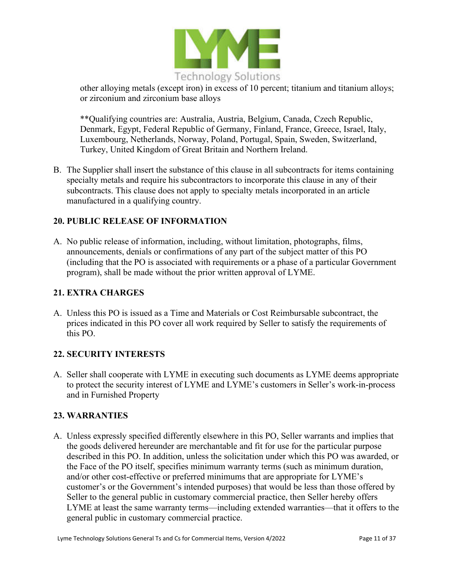

other alloying metals (except iron) in excess of 10 percent; titanium and titanium alloys; or zirconium and zirconium base alloys

\*\*Qualifying countries are: Australia, Austria, Belgium, Canada, Czech Republic, Denmark, Egypt, Federal Republic of Germany, Finland, France, Greece, Israel, Italy, Luxembourg, Netherlands, Norway, Poland, Portugal, Spain, Sweden, Switzerland, Turkey, United Kingdom of Great Britain and Northern Ireland.

B. The Supplier shall insert the substance of this clause in all subcontracts for items containing specialty metals and require his subcontractors to incorporate this clause in any of their subcontracts. This clause does not apply to specialty metals incorporated in an article manufactured in a qualifying country.

## **20. PUBLIC RELEASE OF INFORMATION**

A. No public release of information, including, without limitation, photographs, films, announcements, denials or confirmations of any part of the subject matter of this PO (including that the PO is associated with requirements or a phase of a particular Government program), shall be made without the prior written approval of LYME.

#### **21. EXTRA CHARGES**

A. Unless this PO is issued as a Time and Materials or Cost Reimbursable subcontract, the prices indicated in this PO cover all work required by Seller to satisfy the requirements of this PO.

## **22. SECURITY INTERESTS**

A. Seller shall cooperate with LYME in executing such documents as LYME deems appropriate to protect the security interest of LYME and LYME's customers in Seller's work-in-process and in Furnished Property

## **23. WARRANTIES**

A. Unless expressly specified differently elsewhere in this PO, Seller warrants and implies that the goods delivered hereunder are merchantable and fit for use for the particular purpose described in this PO. In addition, unless the solicitation under which this PO was awarded, or the Face of the PO itself, specifies minimum warranty terms (such as minimum duration, and/or other cost-effective or preferred minimums that are appropriate for LYME's customer's or the Government's intended purposes) that would be less than those offered by Seller to the general public in customary commercial practice, then Seller hereby offers LYME at least the same warranty terms—including extended warranties—that it offers to the general public in customary commercial practice.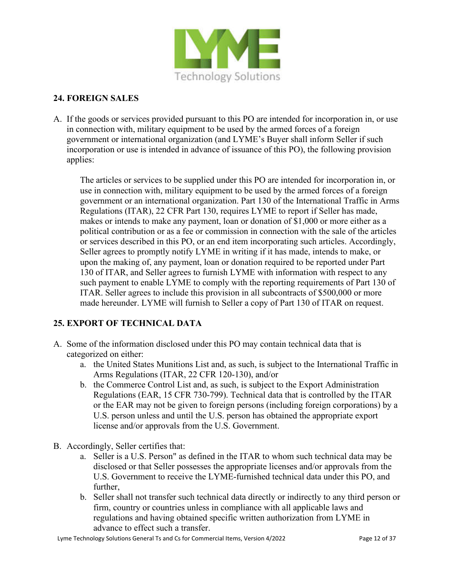

## **24. FOREIGN SALES**

A. If the goods or services provided pursuant to this PO are intended for incorporation in, or use in connection with, military equipment to be used by the armed forces of a foreign government or international organization (and LYME's Buyer shall inform Seller if such incorporation or use is intended in advance of issuance of this PO), the following provision applies:

The articles or services to be supplied under this PO are intended for incorporation in, or use in connection with, military equipment to be used by the armed forces of a foreign government or an international organization. Part 130 of the International Traffic in Arms Regulations (ITAR), 22 CFR Part 130, requires LYME to report if Seller has made, makes or intends to make any payment, loan or donation of \$1,000 or more either as a political contribution or as a fee or commission in connection with the sale of the articles or services described in this PO, or an end item incorporating such articles. Accordingly, Seller agrees to promptly notify LYME in writing if it has made, intends to make, or upon the making of, any payment, loan or donation required to be reported under Part 130 of ITAR, and Seller agrees to furnish LYME with information with respect to any such payment to enable LYME to comply with the reporting requirements of Part 130 of ITAR. Seller agrees to include this provision in all subcontracts of \$500,000 or more made hereunder. LYME will furnish to Seller a copy of Part 130 of ITAR on request.

# **25. EXPORT OF TECHNICAL DATA**

- A. Some of the information disclosed under this PO may contain technical data that is categorized on either:
	- a. the United States Munitions List and, as such, is subject to the International Traffic in Arms Regulations (ITAR, 22 CFR 120-130), and/or
	- b. the Commerce Control List and, as such, is subject to the Export Administration Regulations (EAR, 15 CFR 730-799). Technical data that is controlled by the ITAR or the EAR may not be given to foreign persons (including foreign corporations) by a U.S. person unless and until the U.S. person has obtained the appropriate export license and/or approvals from the U.S. Government.
- B. Accordingly, Seller certifies that:
	- a. Seller is a U.S. Person" as defined in the ITAR to whom such technical data may be disclosed or that Seller possesses the appropriate licenses and/or approvals from the U.S. Government to receive the LYME-furnished technical data under this PO, and further,
	- b. Seller shall not transfer such technical data directly or indirectly to any third person or firm, country or countries unless in compliance with all applicable laws and regulations and having obtained specific written authorization from LYME in advance to effect such a transfer.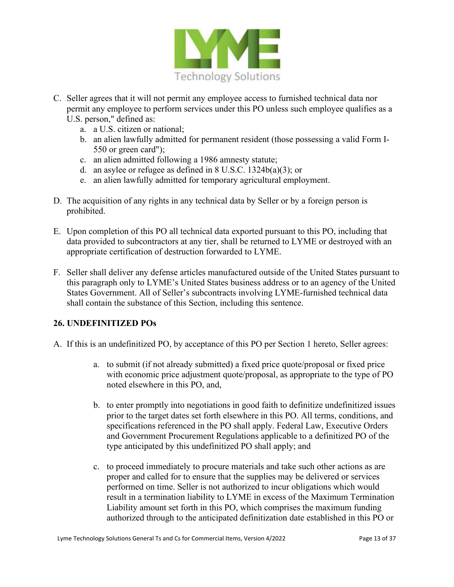

- C. Seller agrees that it will not permit any employee access to furnished technical data nor permit any employee to perform services under this PO unless such employee qualifies as a U.S. person," defined as:
	- a. a U.S. citizen or national;
	- b. an alien lawfully admitted for permanent resident (those possessing a valid Form I-550 or green card");
	- c. an alien admitted following a 1986 amnesty statute;
	- d. an asylee or refugee as defined in 8 U.S.C. 1324b(a)(3); or
	- e. an alien lawfully admitted for temporary agricultural employment.
- D. The acquisition of any rights in any technical data by Seller or by a foreign person is prohibited.
- E. Upon completion of this PO all technical data exported pursuant to this PO, including that data provided to subcontractors at any tier, shall be returned to LYME or destroyed with an appropriate certification of destruction forwarded to LYME.
- F. Seller shall deliver any defense articles manufactured outside of the United States pursuant to this paragraph only to LYME's United States business address or to an agency of the United States Government. All of Seller's subcontracts involving LYME-furnished technical data shall contain the substance of this Section, including this sentence.

## **26. UNDEFINITIZED POs**

- A. If this is an undefinitized PO, by acceptance of this PO per Section 1 hereto, Seller agrees:
	- a. to submit (if not already submitted) a fixed price quote/proposal or fixed price with economic price adjustment quote/proposal, as appropriate to the type of PO noted elsewhere in this PO, and,
	- b. to enter promptly into negotiations in good faith to definitize undefinitized issues prior to the target dates set forth elsewhere in this PO. All terms, conditions, and specifications referenced in the PO shall apply. Federal Law, Executive Orders and Government Procurement Regulations applicable to a definitized PO of the type anticipated by this undefinitized PO shall apply; and
	- c. to proceed immediately to procure materials and take such other actions as are proper and called for to ensure that the supplies may be delivered or services performed on time. Seller is not authorized to incur obligations which would result in a termination liability to LYME in excess of the Maximum Termination Liability amount set forth in this PO, which comprises the maximum funding authorized through to the anticipated definitization date established in this PO or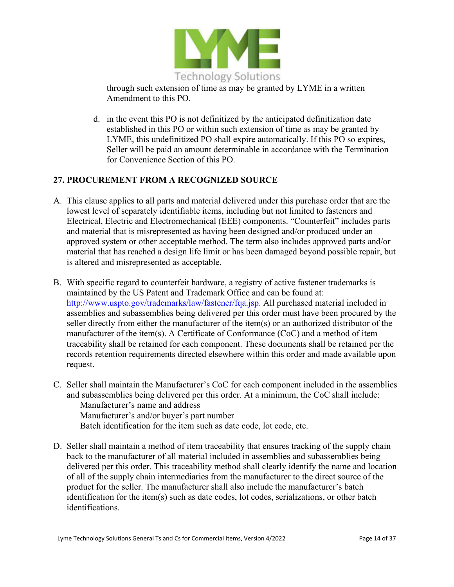

through such extension of time as may be granted by LYME in a written Amendment to this PO.

d. in the event this PO is not definitized by the anticipated definitization date established in this PO or within such extension of time as may be granted by LYME, this undefinitized PO shall expire automatically. If this PO so expires, Seller will be paid an amount determinable in accordance with the Termination for Convenience Section of this PO.

# **27. PROCUREMENT FROM A RECOGNIZED SOURCE**

- A. This clause applies to all parts and material delivered under this purchase order that are the lowest level of separately identifiable items, including but not limited to fasteners and Electrical, Electric and Electromechanical (EEE) components. "Counterfeit" includes parts and material that is misrepresented as having been designed and/or produced under an approved system or other acceptable method. The term also includes approved parts and/or material that has reached a design life limit or has been damaged beyond possible repair, but is altered and misrepresented as acceptable.
- B. With specific regard to counterfeit hardware, a registry of active fastener trademarks is maintained by the US Patent and Trademark Office and can be found at: http://www.uspto.gov/trademarks/law/fastener/fqa.jsp. All purchased material included in assemblies and subassemblies being delivered per this order must have been procured by the seller directly from either the manufacturer of the item(s) or an authorized distributor of the manufacturer of the item(s). A Certificate of Conformance (CoC) and a method of item traceability shall be retained for each component. These documents shall be retained per the records retention requirements directed elsewhere within this order and made available upon request.
- C. Seller shall maintain the Manufacturer's CoC for each component included in the assemblies and subassemblies being delivered per this order. At a minimum, the CoC shall include: Manufacturer's name and address Manufacturer's and/or buyer's part number Batch identification for the item such as date code, lot code, etc.
- D. Seller shall maintain a method of item traceability that ensures tracking of the supply chain back to the manufacturer of all material included in assemblies and subassemblies being delivered per this order. This traceability method shall clearly identify the name and location of all of the supply chain intermediaries from the manufacturer to the direct source of the product for the seller. The manufacturer shall also include the manufacturer's batch identification for the item(s) such as date codes, lot codes, serializations, or other batch identifications.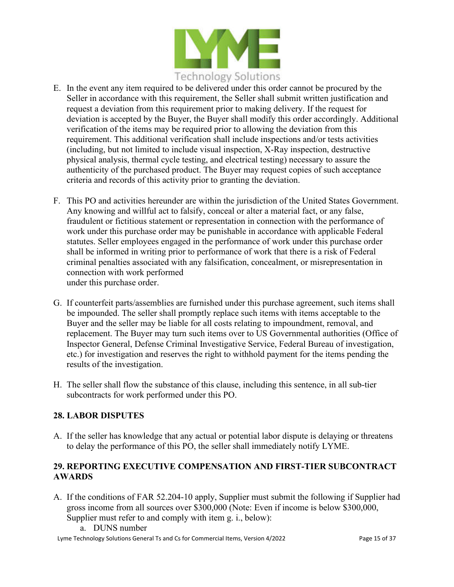

- E. In the event any item required to be delivered under this order cannot be procured by the Seller in accordance with this requirement, the Seller shall submit written justification and request a deviation from this requirement prior to making delivery. If the request for deviation is accepted by the Buyer, the Buyer shall modify this order accordingly. Additional verification of the items may be required prior to allowing the deviation from this requirement. This additional verification shall include inspections and/or tests activities (including, but not limited to include visual inspection, X-Ray inspection, destructive physical analysis, thermal cycle testing, and electrical testing) necessary to assure the authenticity of the purchased product. The Buyer may request copies of such acceptance criteria and records of this activity prior to granting the deviation.
- F. This PO and activities hereunder are within the jurisdiction of the United States Government. Any knowing and willful act to falsify, conceal or alter a material fact, or any false, fraudulent or fictitious statement or representation in connection with the performance of work under this purchase order may be punishable in accordance with applicable Federal statutes. Seller employees engaged in the performance of work under this purchase order shall be informed in writing prior to performance of work that there is a risk of Federal criminal penalties associated with any falsification, concealment, or misrepresentation in connection with work performed under this purchase order.
- G. If counterfeit parts/assemblies are furnished under this purchase agreement, such items shall be impounded. The seller shall promptly replace such items with items acceptable to the Buyer and the seller may be liable for all costs relating to impoundment, removal, and replacement. The Buyer may turn such items over to US Governmental authorities (Office of Inspector General, Defense Criminal Investigative Service, Federal Bureau of investigation, etc.) for investigation and reserves the right to withhold payment for the items pending the results of the investigation.
- H. The seller shall flow the substance of this clause, including this sentence, in all sub-tier subcontracts for work performed under this PO.

## **28. LABOR DISPUTES**

A. If the seller has knowledge that any actual or potential labor dispute is delaying or threatens to delay the performance of this PO, the seller shall immediately notify LYME.

# **29. REPORTING EXECUTIVE COMPENSATION AND FIRST-TIER SUBCONTRACT AWARDS**

- A. If the conditions of FAR 52.204-10 apply, Supplier must submit the following if Supplier had gross income from all sources over \$300,000 (Note: Even if income is below \$300,000, Supplier must refer to and comply with item g. i., below):
	- a. DUNS number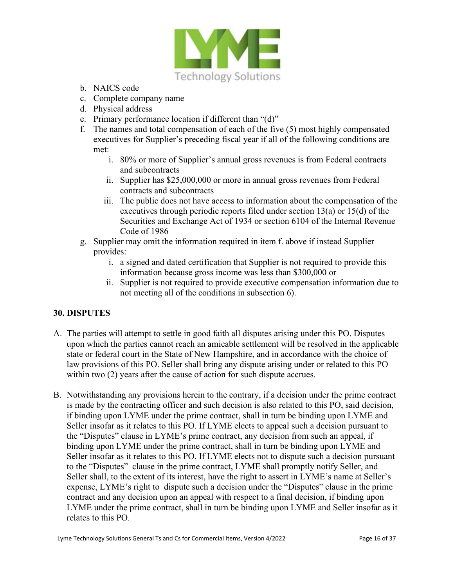

- b. NAICS code
- c. Complete company name
- d. Physical address
- e. Primary performance location if different than "(d)"
- f. The names and total compensation of each of the five (5) most highly compensated executives for Supplier's preceding fiscal year if all of the following conditions are met:
	- i. 80% or more of Supplier's annual gross revenues is from Federal contracts and subcontracts
	- ii. Supplier has \$25,000,000 or more in annual gross revenues from Federal contracts and subcontracts
	- iii. The public does not have access to information about the compensation of the executives through periodic reports filed under section 13(a) or 15(d) of the Securities and Exchange Act of 1934 or section 6104 of the Internal Revenue Code of 1986
- g. Supplier may omit the information required in item f. above if instead Supplier provides:
	- i. a signed and dated certification that Supplier is not required to provide this information because gross income was less than \$300,000 or
	- ii. Supplier is not required to provide executive compensation information due to not meeting all of the conditions in subsection 6).

## **30. DISPUTES**

- A. The parties will attempt to settle in good faith all disputes arising under this PO. Disputes upon which the parties cannot reach an amicable settlement will be resolved in the applicable state or federal court in the State of New Hampshire, and in accordance with the choice of law provisions of this PO. Seller shall bring any dispute arising under or related to this PO within two (2) years after the cause of action for such dispute accrues.
- B. Notwithstanding any provisions herein to the contrary, if a decision under the prime contract is made by the contracting officer and such decision is also related to this PO, said decision, if binding upon LYME under the prime contract, shall in turn be binding upon LYME and Seller insofar as it relates to this PO. If LYME elects to appeal such a decision pursuant to the "Disputes" clause in LYME's prime contract, any decision from such an appeal, if binding upon LYME under the prime contract, shall in turn be binding upon LYME and Seller insofar as it relates to this PO. If LYME elects not to dispute such a decision pursuant to the "Disputes" clause in the prime contract, LYME shall promptly notify Seller, and Seller shall, to the extent of its interest, have the right to assert in LYME's name at Seller's expense, LYME's right to dispute such a decision under the "Disputes" clause in the prime contract and any decision upon an appeal with respect to a final decision, if binding upon LYME under the prime contract, shall in turn be binding upon LYME and Seller insofar as it relates to this PO.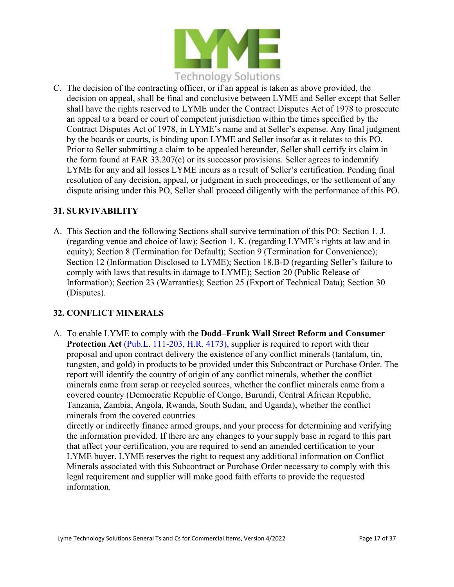

C. The decision of the contracting officer, or if an appeal is taken as above provided, the decision on appeal, shall be final and conclusive between LYME and Seller except that Seller shall have the rights reserved to LYME under the Contract Disputes Act of 1978 to prosecute an appeal to a board or court of competent jurisdiction within the times specified by the Contract Disputes Act of 1978, in LYME's name and at Seller's expense. Any final judgment by the boards or courts, is binding upon LYME and Seller insofar as it relates to this PO. Prior to Seller submitting a claim to be appealed hereunder, Seller shall certify its claim in the form found at FAR 33.207(c) or its successor provisions. Seller agrees to indemnify LYME for any and all losses LYME incurs as a result of Seller's certification. Pending final resolution of any decision, appeal, or judgment in such proceedings, or the settlement of any dispute arising under this PO, Seller shall proceed diligently with the performance of this PO.

#### **31. SURVIVABILITY**

A. This Section and the following Sections shall survive termination of this PO: Section 1. J. (regarding venue and choice of law); Section 1. K. (regarding LYME's rights at law and in equity); Section 8 (Termination for Default); Section 9 (Termination for Convenience); Section 12 (Information Disclosed to LYME); Section 18.B-D (regarding Seller's failure to comply with laws that results in damage to LYME); Section 20 (Public Release of Information); Section 23 (Warranties); Section 25 (Export of Technical Data); Section 30 (Disputes).

## **32. CONFLICT MINERALS**

A. To enable LYME to comply with the **Dodd–Frank Wall Street Reform and Consumer Protection Act** (Pub.L. 111-203, H.R. 4173), supplier is required to report with their proposal and upon contract delivery the existence of any conflict minerals (tantalum, tin, tungsten, and gold) in products to be provided under this Subcontract or Purchase Order. The report will identify the country of origin of any conflict minerals, whether the conflict minerals came from scrap or recycled sources, whether the conflict minerals came from a covered country (Democratic Republic of Congo, Burundi, Central African Republic, Tanzania, Zambia, Angola, Rwanda, South Sudan, and Uganda), whether the conflict minerals from the covered countries

directly or indirectly finance armed groups, and your process for determining and verifying the information provided. If there are any changes to your supply base in regard to this part that affect your certification, you are required to send an amended certification to your LYME buyer. LYME reserves the right to request any additional information on Conflict Minerals associated with this Subcontract or Purchase Order necessary to comply with this legal requirement and supplier will make good faith efforts to provide the requested information.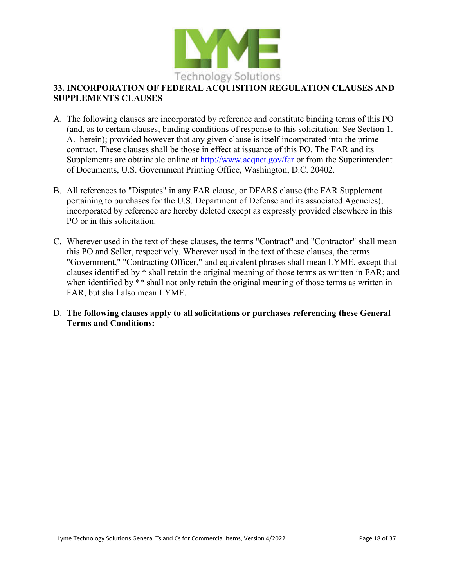

## **33. INCORPORATION OF FEDERAL ACQUISITION REGULATION CLAUSES AND SUPPLEMENTS CLAUSES**

- A. The following clauses are incorporated by reference and constitute binding terms of this PO (and, as to certain clauses, binding conditions of response to this solicitation: See Section 1. A. herein); provided however that any given clause is itself incorporated into the prime contract. These clauses shall be those in effect at issuance of this PO. The FAR and its Supplements are obtainable online at http://www.acqnet.gov/far or from the Superintendent of Documents, U.S. Government Printing Office, Washington, D.C. 20402.
- B. All references to "Disputes" in any FAR clause, or DFARS clause (the FAR Supplement pertaining to purchases for the U.S. Department of Defense and its associated Agencies), incorporated by reference are hereby deleted except as expressly provided elsewhere in this PO or in this solicitation.
- C. Wherever used in the text of these clauses, the terms "Contract" and "Contractor" shall mean this PO and Seller, respectively. Wherever used in the text of these clauses, the terms "Government," "Contracting Officer," and equivalent phrases shall mean LYME, except that clauses identified by \* shall retain the original meaning of those terms as written in FAR; and when identified by \*\* shall not only retain the original meaning of those terms as written in FAR, but shall also mean LYME.

#### D. **The following clauses apply to all solicitations or purchases referencing these General Terms and Conditions:**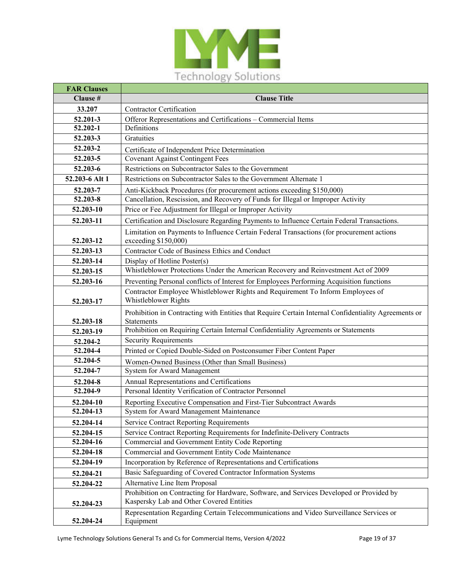

| <b>FAR Clauses</b> |                                                                                                                                      |
|--------------------|--------------------------------------------------------------------------------------------------------------------------------------|
| Clause #           | <b>Clause Title</b>                                                                                                                  |
| 33.207             | <b>Contractor Certification</b>                                                                                                      |
| 52.201-3           | Offeror Representations and Certifications - Commercial Items                                                                        |
| $52.202 - 1$       | Definitions                                                                                                                          |
| 52.203-3           | Gratuities                                                                                                                           |
| 52.203-2           | Certificate of Independent Price Determination                                                                                       |
| 52.203-5           | <b>Covenant Against Contingent Fees</b>                                                                                              |
| 52.203-6           | Restrictions on Subcontractor Sales to the Government                                                                                |
| 52.203-6 Alt 1     | Restrictions on Subcontractor Sales to the Government Alternate 1                                                                    |
| 52.203-7           | Anti-Kickback Procedures (for procurement actions exceeding \$150,000)                                                               |
| 52.203-8           | Cancellation, Rescission, and Recovery of Funds for Illegal or Improper Activity                                                     |
| 52.203-10          | Price or Fee Adjustment for Illegal or Improper Activity                                                                             |
| 52.203-11          | Certification and Disclosure Regarding Payments to Influence Certain Federal Transactions.                                           |
| 52.203-12          | Limitation on Payments to Influence Certain Federal Transactions (for procurement actions<br>exceeding \$150,000)                    |
| 52.203-13          | Contractor Code of Business Ethics and Conduct                                                                                       |
| 52.203-14          | Display of Hotline Poster(s)                                                                                                         |
| 52.203-15          | Whistleblower Protections Under the American Recovery and Reinvestment Act of 2009                                                   |
| 52.203-16          | Preventing Personal conflicts of Interest for Employees Performing Acquisition functions                                             |
| 52.203-17          | Contractor Employee Whistleblower Rights and Requirement To Inform Employees of<br>Whistleblower Rights                              |
| 52.203-18          | Prohibition in Contracting with Entities that Require Certain Internal Confidentiality Agreements or<br>Statements                   |
| 52.203-19          | Prohibition on Requiring Certain Internal Confidentiality Agreements or Statements                                                   |
| 52.204-2           | <b>Security Requirements</b>                                                                                                         |
| 52.204-4           | Printed or Copied Double-Sided on Postconsumer Fiber Content Paper                                                                   |
| 52.204-5           | Women-Owned Business (Other than Small Business)                                                                                     |
| 52.204-7           | System for Award Management                                                                                                          |
| 52.204-8           | Annual Representations and Certifications                                                                                            |
| 52.204-9           | Personal Identity Verification of Contractor Personnel                                                                               |
| 52.204-10          | Reporting Executive Compensation and First-Tier Subcontract Awards                                                                   |
| 52.204-13          | System for Award Management Maintenance                                                                                              |
| 52.204-14          | <b>Service Contract Reporting Requirements</b>                                                                                       |
| 52.204-15          | Service Contract Reporting Requirements for Indefinite-Delivery Contracts                                                            |
| 52.204-16          | Commercial and Government Entity Code Reporting                                                                                      |
| 52.204-18          | Commercial and Government Entity Code Maintenance                                                                                    |
| 52.204-19          | Incorporation by Reference of Representations and Certifications                                                                     |
| 52.204-21          | Basic Safeguarding of Covered Contractor Information Systems                                                                         |
| 52.204-22          | Alternative Line Item Proposal                                                                                                       |
| 52.204-23          | Prohibition on Contracting for Hardware, Software, and Services Developed or Provided by<br>Kaspersky Lab and Other Covered Entities |
|                    | Representation Regarding Certain Telecommunications and Video Surveillance Services or                                               |
| 52.204-24          | Equipment                                                                                                                            |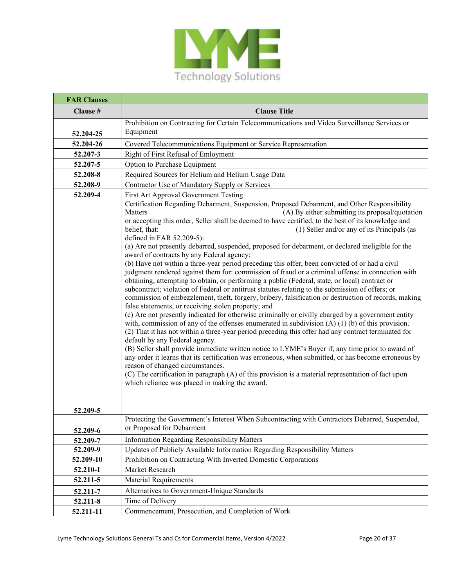

| <b>FAR Clauses</b> |                                                                                                                                                                                                                                                                                                                                                                                                                                                                                                                                                                                                                                                                                                                                                                                                                                                                                                                                                                                                                                                                                                                                                                                                                                                                                                                                                                                                                                                                                                                                                                                                                                                                                                                                                                                                                                                         |
|--------------------|---------------------------------------------------------------------------------------------------------------------------------------------------------------------------------------------------------------------------------------------------------------------------------------------------------------------------------------------------------------------------------------------------------------------------------------------------------------------------------------------------------------------------------------------------------------------------------------------------------------------------------------------------------------------------------------------------------------------------------------------------------------------------------------------------------------------------------------------------------------------------------------------------------------------------------------------------------------------------------------------------------------------------------------------------------------------------------------------------------------------------------------------------------------------------------------------------------------------------------------------------------------------------------------------------------------------------------------------------------------------------------------------------------------------------------------------------------------------------------------------------------------------------------------------------------------------------------------------------------------------------------------------------------------------------------------------------------------------------------------------------------------------------------------------------------------------------------------------------------|
| Clause #           | <b>Clause Title</b>                                                                                                                                                                                                                                                                                                                                                                                                                                                                                                                                                                                                                                                                                                                                                                                                                                                                                                                                                                                                                                                                                                                                                                                                                                                                                                                                                                                                                                                                                                                                                                                                                                                                                                                                                                                                                                     |
|                    | Prohibition on Contracting for Certain Telecommunications and Video Surveillance Services or                                                                                                                                                                                                                                                                                                                                                                                                                                                                                                                                                                                                                                                                                                                                                                                                                                                                                                                                                                                                                                                                                                                                                                                                                                                                                                                                                                                                                                                                                                                                                                                                                                                                                                                                                            |
| 52.204-25          | Equipment                                                                                                                                                                                                                                                                                                                                                                                                                                                                                                                                                                                                                                                                                                                                                                                                                                                                                                                                                                                                                                                                                                                                                                                                                                                                                                                                                                                                                                                                                                                                                                                                                                                                                                                                                                                                                                               |
| 52.204-26          | Covered Telecommunications Equipment or Service Representation                                                                                                                                                                                                                                                                                                                                                                                                                                                                                                                                                                                                                                                                                                                                                                                                                                                                                                                                                                                                                                                                                                                                                                                                                                                                                                                                                                                                                                                                                                                                                                                                                                                                                                                                                                                          |
| 52.207-3           | Right of First Refusal of Emloyment                                                                                                                                                                                                                                                                                                                                                                                                                                                                                                                                                                                                                                                                                                                                                                                                                                                                                                                                                                                                                                                                                                                                                                                                                                                                                                                                                                                                                                                                                                                                                                                                                                                                                                                                                                                                                     |
| 52.207-5           | Option to Purchase Equipment                                                                                                                                                                                                                                                                                                                                                                                                                                                                                                                                                                                                                                                                                                                                                                                                                                                                                                                                                                                                                                                                                                                                                                                                                                                                                                                                                                                                                                                                                                                                                                                                                                                                                                                                                                                                                            |
| 52.208-8           | Required Sources for Helium and Helium Usage Data                                                                                                                                                                                                                                                                                                                                                                                                                                                                                                                                                                                                                                                                                                                                                                                                                                                                                                                                                                                                                                                                                                                                                                                                                                                                                                                                                                                                                                                                                                                                                                                                                                                                                                                                                                                                       |
| 52.208-9           | Contractor Use of Mandatory Supply or Services                                                                                                                                                                                                                                                                                                                                                                                                                                                                                                                                                                                                                                                                                                                                                                                                                                                                                                                                                                                                                                                                                                                                                                                                                                                                                                                                                                                                                                                                                                                                                                                                                                                                                                                                                                                                          |
| 52.209-4           | First Art Approval Government Testing                                                                                                                                                                                                                                                                                                                                                                                                                                                                                                                                                                                                                                                                                                                                                                                                                                                                                                                                                                                                                                                                                                                                                                                                                                                                                                                                                                                                                                                                                                                                                                                                                                                                                                                                                                                                                   |
|                    | Certification Regarding Debarment, Suspension, Proposed Debarment, and Other Responsibility<br>Matters<br>(A) By either submitting its proposal/quotation<br>or accepting this order, Seller shall be deemed to have certified, to the best of its knowledge and<br>belief, that:<br>(1) Seller and/or any of its Principals (as<br>defined in FAR 52.209-5):<br>(a) Are not presently debarred, suspended, proposed for debarment, or declared ineligible for the<br>award of contracts by any Federal agency;<br>(b) Have not within a three-year period preceding this offer, been convicted of or had a civil<br>judgment rendered against them for: commission of fraud or a criminal offense in connection with<br>obtaining, attempting to obtain, or performing a public (Federal, state, or local) contract or<br>subcontract; violation of Federal or antitrust statutes relating to the submission of offers; or<br>commission of embezzlement, theft, forgery, bribery, falsification or destruction of records, making<br>false statements, or receiving stolen property; and<br>(c) Are not presently indicated for otherwise criminally or civilly charged by a government entity<br>with, commission of any of the offenses enumerated in subdivision $(A) (1) (b)$ of this provision.<br>(2) That it has not within a three-year period preceding this offer had any contract terminated for<br>default by any Federal agency.<br>(B) Seller shall provide immediate written notice to LYME's Buyer if, any time prior to award of<br>any order it learns that its certification was erroneous, when submitted, or has become erroneous by<br>reason of changed circumstances.<br>(C) The certification in paragraph (A) of this provision is a material representation of fact upon<br>which reliance was placed in making the award. |
| 52.209-5           |                                                                                                                                                                                                                                                                                                                                                                                                                                                                                                                                                                                                                                                                                                                                                                                                                                                                                                                                                                                                                                                                                                                                                                                                                                                                                                                                                                                                                                                                                                                                                                                                                                                                                                                                                                                                                                                         |
| 52.209-6           | Protecting the Government's Interest When Subcontracting with Contractors Debarred, Suspended,<br>or Proposed for Debarment                                                                                                                                                                                                                                                                                                                                                                                                                                                                                                                                                                                                                                                                                                                                                                                                                                                                                                                                                                                                                                                                                                                                                                                                                                                                                                                                                                                                                                                                                                                                                                                                                                                                                                                             |
| 52.209-7           | <b>Information Regarding Responsibility Matters</b>                                                                                                                                                                                                                                                                                                                                                                                                                                                                                                                                                                                                                                                                                                                                                                                                                                                                                                                                                                                                                                                                                                                                                                                                                                                                                                                                                                                                                                                                                                                                                                                                                                                                                                                                                                                                     |
| 52.209-9           | Updates of Publicly Available Information Regarding Responsibility Matters                                                                                                                                                                                                                                                                                                                                                                                                                                                                                                                                                                                                                                                                                                                                                                                                                                                                                                                                                                                                                                                                                                                                                                                                                                                                                                                                                                                                                                                                                                                                                                                                                                                                                                                                                                              |
| 52.209-10          | Prohibition on Contracting With Inverted Domestic Corporations                                                                                                                                                                                                                                                                                                                                                                                                                                                                                                                                                                                                                                                                                                                                                                                                                                                                                                                                                                                                                                                                                                                                                                                                                                                                                                                                                                                                                                                                                                                                                                                                                                                                                                                                                                                          |
| 52.210-1           | Market Research                                                                                                                                                                                                                                                                                                                                                                                                                                                                                                                                                                                                                                                                                                                                                                                                                                                                                                                                                                                                                                                                                                                                                                                                                                                                                                                                                                                                                                                                                                                                                                                                                                                                                                                                                                                                                                         |
| 52.211-5           | <b>Material Requirements</b>                                                                                                                                                                                                                                                                                                                                                                                                                                                                                                                                                                                                                                                                                                                                                                                                                                                                                                                                                                                                                                                                                                                                                                                                                                                                                                                                                                                                                                                                                                                                                                                                                                                                                                                                                                                                                            |
| 52.211-7           | Alternatives to Government-Unique Standards                                                                                                                                                                                                                                                                                                                                                                                                                                                                                                                                                                                                                                                                                                                                                                                                                                                                                                                                                                                                                                                                                                                                                                                                                                                                                                                                                                                                                                                                                                                                                                                                                                                                                                                                                                                                             |
| 52.211-8           | Time of Delivery                                                                                                                                                                                                                                                                                                                                                                                                                                                                                                                                                                                                                                                                                                                                                                                                                                                                                                                                                                                                                                                                                                                                                                                                                                                                                                                                                                                                                                                                                                                                                                                                                                                                                                                                                                                                                                        |
| 52.211-11          | Commencement, Prosecution, and Completion of Work                                                                                                                                                                                                                                                                                                                                                                                                                                                                                                                                                                                                                                                                                                                                                                                                                                                                                                                                                                                                                                                                                                                                                                                                                                                                                                                                                                                                                                                                                                                                                                                                                                                                                                                                                                                                       |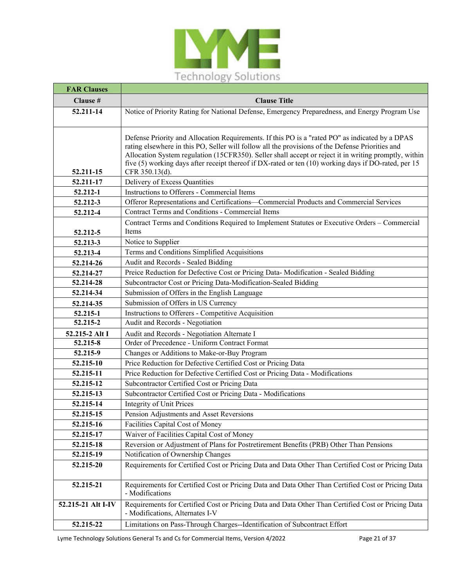

| <b>FAR Clauses</b> |                                                                                                                                       |
|--------------------|---------------------------------------------------------------------------------------------------------------------------------------|
| Clause #           | <b>Clause Title</b>                                                                                                                   |
| 52.211-14          | Notice of Priority Rating for National Defense, Emergency Preparedness, and Energy Program Use                                        |
|                    |                                                                                                                                       |
|                    | Defense Priority and Allocation Requirements. If this PO is a "rated PO" as indicated by a DPAS                                       |
|                    | rating elsewhere in this PO, Seller will follow all the provisions of the Defense Priorities and                                      |
|                    | Allocation System regulation (15CFR350). Seller shall accept or reject it in writing promptly, within                                 |
|                    | five (5) working days after receipt thereof if DX-rated or ten (10) working days if DO-rated, per 15                                  |
| 52.211-15          | CFR 350.13(d).                                                                                                                        |
| 52.211-17          | Delivery of Excess Quantities                                                                                                         |
| 52.212-1           | Instructions to Offerers - Commercial Items                                                                                           |
| 52.212-3           | Offeror Representations and Certifications-Commercial Products and Commercial Services                                                |
| 52.212-4           | Contract Terms and Conditions - Commercial Items                                                                                      |
|                    | Contract Terms and Conditions Required to Implement Statutes or Executive Orders - Commercial                                         |
| 52.212-5           | Items                                                                                                                                 |
| 52.213-3           | Notice to Supplier                                                                                                                    |
| 52.213-4           | Terms and Conditions Simplified Acquisitions                                                                                          |
| 52.214-26          | Audit and Records - Sealed Bidding                                                                                                    |
| 52.214-27          | Preice Reduction for Defective Cost or Pricing Data- Modification - Sealed Bidding                                                    |
| 52.214-28          | Subcontractor Cost or Pricing Data-Modification-Sealed Bidding                                                                        |
| 52.214-34          | Submission of Offers in the English Language                                                                                          |
| 52.214-35          | Submission of Offers in US Currency                                                                                                   |
| 52.215-1           | Instructions to Offerers - Competitive Acquisition                                                                                    |
| 52.215-2           | Audit and Records - Negotiation                                                                                                       |
| 52.215-2 Alt I     | Audit and Records - Negotiation Alternate I                                                                                           |
| 52.215-8           | Order of Precedence - Uniform Contract Format                                                                                         |
| 52.215-9           | Changes or Additions to Make-or-Buy Program                                                                                           |
| 52.215-10          | Price Reduction for Defective Certified Cost or Pricing Data                                                                          |
| 52.215-11          | Price Reduction for Defective Certified Cost or Pricing Data - Modifications                                                          |
| 52.215-12          | Subcontractor Certified Cost or Pricing Data                                                                                          |
| 52.215-13          | Subcontractor Certified Cost or Pricing Data - Modifications                                                                          |
| 52.215-14          | <b>Integrity of Unit Prices</b>                                                                                                       |
| 52.215-15          | Pension Adjustments and Asset Reversions                                                                                              |
| 52.215-16          | Facilities Capital Cost of Money                                                                                                      |
| 52.215-17          | Waiver of Facilities Capital Cost of Money                                                                                            |
| 52.215-18          | Reversion or Adjustment of Plans for Postretirement Benefits (PRB) Other Than Pensions                                                |
| 52.215-19          | Notification of Ownership Changes                                                                                                     |
| 52.215-20          | Requirements for Certified Cost or Pricing Data and Data Other Than Certified Cost or Pricing Data                                    |
| 52.215-21          | Requirements for Certified Cost or Pricing Data and Data Other Than Certified Cost or Pricing Data<br>- Modifications                 |
| 52.215-21 Alt I-IV | Requirements for Certified Cost or Pricing Data and Data Other Than Certified Cost or Pricing Data<br>- Modifications, Alternates I-V |
| 52.215-22          | Limitations on Pass-Through Charges--Identification of Subcontract Effort                                                             |

Lyme Technology Solutions General Ts and Cs for Commercial Items, Version 4/2022 Page 21 of 37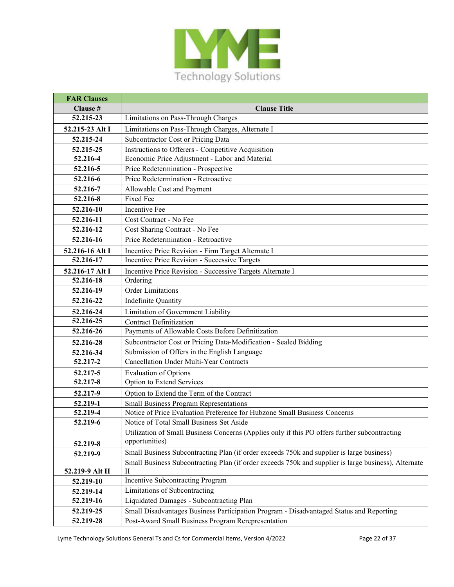

| <b>FAR Clauses</b>      |                                                                                                                  |
|-------------------------|------------------------------------------------------------------------------------------------------------------|
| Clause #                | <b>Clause Title</b>                                                                                              |
| 52.215-23               | Limitations on Pass-Through Charges                                                                              |
| 52.215-23 Alt I         | Limitations on Pass-Through Charges, Alternate I                                                                 |
| 52.215-24               | Subcontractor Cost or Pricing Data                                                                               |
| 52.215-25               | Instructions to Offerers - Competitive Acquisition                                                               |
| $\overline{52.216} - 4$ | Economic Price Adjustment - Labor and Material                                                                   |
| 52.216-5                | Price Redetermination - Prospective                                                                              |
| 52.216-6                | Price Redetermination - Retroactive                                                                              |
| 52.216-7                | Allowable Cost and Payment                                                                                       |
| 52.216-8                | <b>Fixed Fee</b>                                                                                                 |
| 52.216-10               | <b>Incentive Fee</b>                                                                                             |
| 52.216-11               | Cost Contract - No Fee                                                                                           |
| 52.216-12               | Cost Sharing Contract - No Fee                                                                                   |
| $52.216 - 16$           | Price Redetermination - Retroactive                                                                              |
| 52.216-16 Alt I         | Incentive Price Revision - Firm Target Alternate I                                                               |
| 52.216-17               | Incentive Price Revision - Successive Targets                                                                    |
| 52.216-17 Alt I         | Incentive Price Revision - Successive Targets Alternate I                                                        |
| 52.216-18               | Ordering                                                                                                         |
| 52.216-19               | <b>Order Limitations</b>                                                                                         |
| 52.216-22               | <b>Indefinite Quantity</b>                                                                                       |
| 52.216-24               | Limitation of Government Liability                                                                               |
| 52.216-25               | <b>Contract Definitization</b>                                                                                   |
| 52.216-26               | Payments of Allowable Costs Before Definitization                                                                |
| 52.216-28               | Subcontractor Cost or Pricing Data-Modification - Sealed Bidding                                                 |
| 52.216-34               | Submission of Offers in the English Language                                                                     |
| 52.217-2                | Cancellation Under Multi-Year Contracts                                                                          |
| 52.217-5                | <b>Evaluation of Options</b>                                                                                     |
| 52.217-8                | Option to Extend Services                                                                                        |
| 52.217-9                | Option to Extend the Term of the Contract                                                                        |
| 52.219-1                | <b>Small Business Program Representations</b>                                                                    |
| 52.219-4                | Notice of Price Evaluation Preference for Hubzone Small Business Concerns                                        |
| 52.219-6                | Notice of Total Small Business Set Aside                                                                         |
|                         | Utilization of Small Business Concerns (Applies only if this PO offers further subcontracting                    |
| 52.219-8                | opportunities)                                                                                                   |
| 52.219-9                | Small Business Subcontracting Plan (if order exceeds 750k and supplier is large business)                        |
| 52.219-9 Alt II         | Small Business Subcontracting Plan (if order exceeds 750k and supplier is large business), Alternate<br>$\rm II$ |
| 52.219-10               | Incentive Subcontracting Program                                                                                 |
| 52.219-14               | Limitations of Subcontracting                                                                                    |
| 52.219-16               | Liquidated Damages - Subcontracting Plan                                                                         |
| 52.219-25               | Small Disadvantages Business Participation Program - Disadvantaged Status and Reporting                          |
| 52.219-28               | Post-Award Small Business Program Rerepresentation                                                               |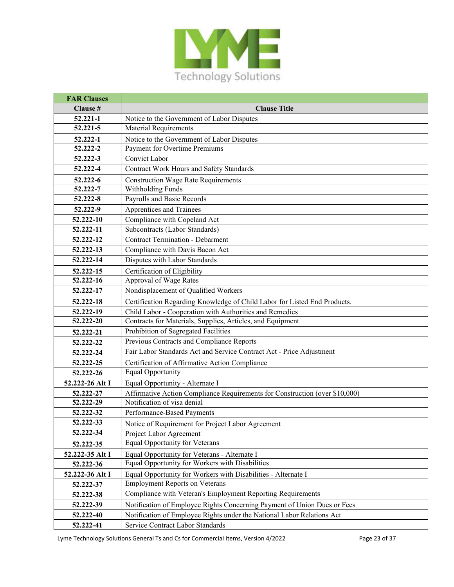

| <b>FAR Clauses</b> |                                                                             |
|--------------------|-----------------------------------------------------------------------------|
| Clause #           | <b>Clause Title</b>                                                         |
| 52.221-1           | Notice to the Government of Labor Disputes                                  |
| 52.221-5           | <b>Material Requirements</b>                                                |
| 52.222-1           | Notice to the Government of Labor Disputes                                  |
| 52.222-2           | Payment for Overtime Premiums                                               |
| 52.222-3           | <b>Convict Labor</b>                                                        |
| 52.222-4           | Contract Work Hours and Safety Standards                                    |
| 52.222-6           | <b>Construction Wage Rate Requirements</b>                                  |
| 52.222-7           | Withholding Funds                                                           |
| 52.222-8           | Payrolls and Basic Records                                                  |
| 52.222-9           | Apprentices and Trainees                                                    |
| 52.222-10          | Compliance with Copeland Act                                                |
| 52.222-11          | Subcontracts (Labor Standards)                                              |
| 52.222-12          | <b>Contract Termination - Debarment</b>                                     |
| 52.222-13          | Compliance with Davis Bacon Act                                             |
| 52.222-14          | Disputes with Labor Standards                                               |
| 52.222-15          | Certification of Eligibility                                                |
| 52.222-16          | Approval of Wage Rates                                                      |
| 52.222-17          | Nondisplacement of Qualified Workers                                        |
| 52.222-18          | Certification Regarding Knowledge of Child Labor for Listed End Products.   |
| 52.222-19          | Child Labor - Cooperation with Authorities and Remedies                     |
| 52.222-20          | Contracts for Materials, Supplies, Articles, and Equipment                  |
| 52.222-21          | Prohibition of Segregated Facilities                                        |
| 52.222-22          | Previous Contracts and Compliance Reports                                   |
| 52.222-24          | Fair Labor Standards Act and Service Contract Act - Price Adjustment        |
| 52.222-25          | Certification of Affirmative Action Compliance                              |
| 52.222-26          | <b>Equal Opportunity</b>                                                    |
| 52.222-26 Alt I    | Equal Opportunity - Alternate I                                             |
| 52.222-27          | Affirmative Action Compliance Requirements for Construction (over \$10,000) |
| 52.222-29          | Notification of visa denial                                                 |
| 52.222-32          | Performance-Based Payments                                                  |
| 52.222-33          | Notice of Requirement for Project Labor Agreement                           |
| $52.222 - 34$      | Project Labor Agreement                                                     |
| 52.222-35          | Equal Opportunity for Veterans                                              |
| 52.222-35 Alt I    | Equal Opportunity for Veterans - Alternate I                                |
| 52.222-36          | Equal Opportunity for Workers with Disabilities                             |
| 52.222-36 Alt I    | Equal Opportunity for Workers with Disabilities - Alternate I               |
| 52.222-37          | <b>Employment Reports on Veterans</b>                                       |
| 52.222-38          | Compliance with Veteran's Employment Reporting Requirements                 |
| 52.222-39          | Notification of Employee Rights Concerning Payment of Union Dues or Fees    |
| 52.222-40          | Notification of Employee Rights under the National Labor Relations Act      |
| 52.222-41          | Service Contract Labor Standards                                            |

Lyme Technology Solutions General Ts and Cs for Commercial Items, Version 4/2022 Page 23 of 37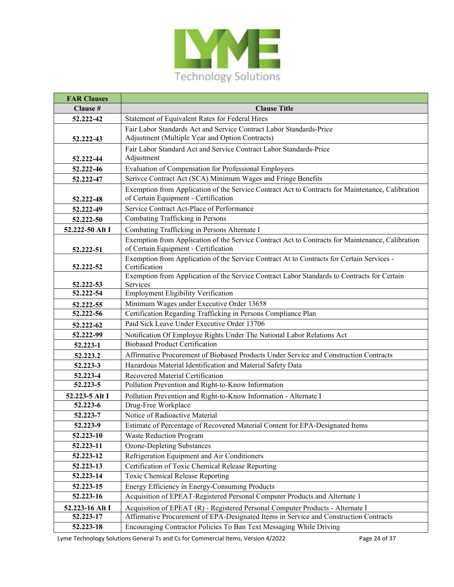

| <b>FAR Clauses</b> |                                                                                                            |
|--------------------|------------------------------------------------------------------------------------------------------------|
| Clause #           | <b>Clause Title</b>                                                                                        |
| 52.222-42          | Statement of Equivalent Rates for Federal Hires                                                            |
|                    | Fair Labor Standards Act and Service Contract Labor Standards-Price                                        |
| 52.222-43          | Adjustment (Multiple Year and Option Contracts)                                                            |
|                    | Fair Labor Standard Act and Service Contract Labor Standards-Price                                         |
| 52.222-44          | Adjustment                                                                                                 |
| 52.222-46          | Evaluation of Compensation for Professional Employees                                                      |
| 52.222-47          | Serivce Contract Act (SCA) Minimum Wages and Fringe Benefits                                               |
|                    | Exemption from Application of the Service Contract Act to Contracts for Maintenance, Calibration           |
| 52.222-48          | of Certain Equipment - Certification                                                                       |
| 52.222-49          | Service Contract Act-Place of Performance                                                                  |
| 52.222-50          | Combating Trafficking in Persons                                                                           |
| 52.222-50 Alt I    | Combating Trafficking in Persons Alternate I                                                               |
|                    | Exemption from Application of the Service Contract Act to Contracts for Maintenance, Calibration           |
| 52.222-51          | of Certain Equipment - Certification                                                                       |
|                    | Exemption from Application of the Service Contract At to Contracts for Certain Services -<br>Certification |
| 52.222-52          | Exemption from Application of the Service Contract Labor Standards to Contracts for Certain                |
| 52.222-53          | Services                                                                                                   |
| 52.222-54          | <b>Employment Eligibility Verification</b>                                                                 |
| 52.222-55          | Minimum Wages under Executive Order 13658                                                                  |
| 52.222-56          | Certification Regarding Trafficking in Persons Compliance Plan                                             |
| 52.222-62          | Paid Sick Leave Under Executive Order 13706                                                                |
| 52.222-99          | Notification Of Employee Rights Under The National Labor Relations Act                                     |
| 52.223-1           | <b>Biobased Product Certification</b>                                                                      |
| 52.223.2           | Affirmative Procurement of Biobased Products Under Service and Construction Contracts                      |
| 52.223-3           | Hazardous Material Identification and Material Safety Data                                                 |
| 52.223-4           | Recovered Material Certification                                                                           |
| 52.223-5           | Pollution Prevention and Right-to-Know Information                                                         |
| 52.223-5 Alt I     | Pollution Prevention and Right-to-Know Information - Alternate I                                           |
| 52.223-6           | Drug-Free Workplace                                                                                        |
| 52.223-7           | Notice of Radioactive Material                                                                             |
| 52.223-9           | Estimate of Percentage of Recovered Material Content for EPA-Designated Items                              |
| 52.223-10          | <b>Waste Reduction Program</b>                                                                             |
| 52.223-11          | <b>Ozone-Depleting Substances</b>                                                                          |
| 52.223-12          | Refrigeration Equipment and Air Conditioners                                                               |
| 52.223-13          | Certification of Toxic Chemical Release Reporting                                                          |
| 52.223-14          | Toxic Chemical Release Reporting                                                                           |
| 52.223-15          | Energy Efficiency in Energy-Consuming Products                                                             |
| 52.223-16          | Acquisition of EPEAT-Registered Personal Computer Products and Alternate 1                                 |
| 52.223-16 Alt I    | Acquisition of EPEAT (R) - Registered Personal Computer Products - Alternate I                             |
| 52.223-17          | Affirmative Procurement of EPA-Designated Items in Service and Construction Contracts                      |
| 52.223-18          | Encouraging Contractor Policies To Ban Text Messaging While Driving                                        |

Lyme Technology Solutions General Ts and Cs for Commercial Items, Version 4/2022 Page 24 of 37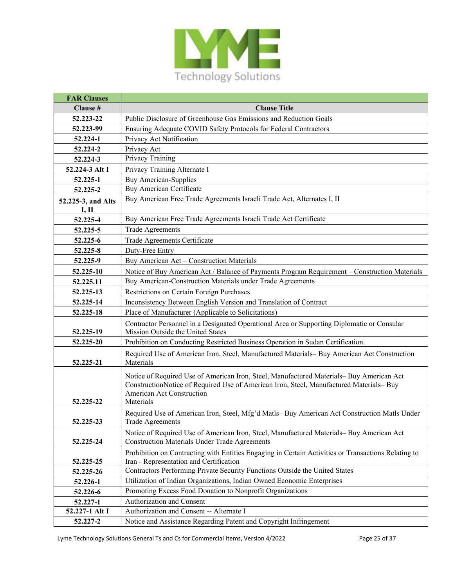

| <b>FAR Clauses</b> |                                                                                                                                                                                                                              |
|--------------------|------------------------------------------------------------------------------------------------------------------------------------------------------------------------------------------------------------------------------|
| Clause #           | <b>Clause Title</b>                                                                                                                                                                                                          |
| 52.223-22          | Public Disclosure of Greenhouse Gas Emissions and Reduction Goals                                                                                                                                                            |
| 52.223-99          | Ensuring Adequate COVID Safety Protocols for Federal Contractors                                                                                                                                                             |
| 52.224-1           | Privacy Act Notification                                                                                                                                                                                                     |
| 52.224-2           | Privacy Act                                                                                                                                                                                                                  |
| 52.224-3           | Privacy Training                                                                                                                                                                                                             |
| 52.224-3 Alt I     | Privacy Training Alternate I                                                                                                                                                                                                 |
| 52.225-1           | <b>Buy American-Supplies</b>                                                                                                                                                                                                 |
| 52.225-2           | Buy American Certificate                                                                                                                                                                                                     |
| 52.225-3, and Alts | Buy American Free Trade Agreements Israeli Trade Act, Alternates I, II                                                                                                                                                       |
| I, II              | Buy American Free Trade Agreements Israeli Trade Act Certificate                                                                                                                                                             |
| 52.225-4           |                                                                                                                                                                                                                              |
| 52.225-5           | <b>Trade Agreements</b>                                                                                                                                                                                                      |
| 52.225-6           | Trade Agreements Certificate                                                                                                                                                                                                 |
| 52.225-8           | Duty-Free Entry                                                                                                                                                                                                              |
| 52.225-9           | Buy American Act - Construction Materials                                                                                                                                                                                    |
| 52.225-10          | Notice of Buy American Act / Balance of Payments Program Requirement - Construction Materials                                                                                                                                |
| 52.225.11          | Buy American-Construction Materials under Trade Agreements                                                                                                                                                                   |
| 52.225-13          | Restrictions on Certain Foreign Purchases                                                                                                                                                                                    |
| 52.225-14          | Inconsistency Between English Version and Translation of Contract                                                                                                                                                            |
| 52.225-18          | Place of Manufacturer (Applicable to Solicitations)                                                                                                                                                                          |
| 52.225-19          | Contractor Personnel in a Designated Operational Area or Supporting Diplomatic or Consular<br>Mission Outside the United States                                                                                              |
| 52.225-20          | Prohibition on Conducting Restricted Business Operation in Sudan Certification.                                                                                                                                              |
| 52.225-21          | Required Use of American Iron, Steel, Manufactured Materials-Buy American Act Construction<br>Materials                                                                                                                      |
| 52.225-22          | Notice of Required Use of American Iron, Steel, Manufactured Materials- Buy American Act<br>ConstructionNotice of Required Use of American Iron, Steel, Manufactured Materials-Buy<br>American Act Construction<br>Materials |
| 52.225-23          | Required Use of American Iron, Steel, Mfg'd Matls- Buy American Act Construction Matls Under<br><b>Trade Agreements</b>                                                                                                      |
| 52.225-24          | Notice of Required Use of American Iron, Steel, Manufactured Materials- Buy American Act<br><b>Construction Materials Under Trade Agreements</b>                                                                             |
| 52.225-25          | Prohibition on Contracting with Entities Engaging in Certain Activities or Transactions Relating to<br>Iran - Representation and Certification                                                                               |
| 52.225-26          | Contractors Performing Private Security Functions Outside the United States                                                                                                                                                  |
| 52.226-1           | Utilization of Indian Organizations, Indian Owned Economic Enterprises                                                                                                                                                       |
| 52.226-6           | Promoting Excess Food Donation to Nonprofit Organizations                                                                                                                                                                    |
| 52.227-1           | Authorization and Consent                                                                                                                                                                                                    |
| 52.227-1 Alt I     | Authorization and Consent -- Alternate I                                                                                                                                                                                     |
| 52.227-2           | Notice and Assistance Regarding Patent and Copyright Infringement                                                                                                                                                            |

Lyme Technology Solutions General Ts and Cs for Commercial Items, Version 4/2022 Page 25 of 37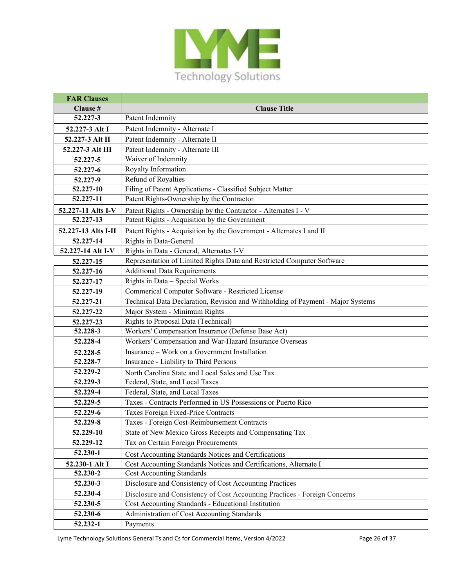

| <b>FAR Clauses</b>  |                                                                                 |
|---------------------|---------------------------------------------------------------------------------|
| Clause #            | <b>Clause Title</b>                                                             |
| 52.227-3            | Patent Indemnity                                                                |
| 52.227-3 Alt I      | Patent Indemnity - Alternate I                                                  |
| 52.227-3 Alt II     | Patent Indemnity - Alternate II                                                 |
| 52.227-3 Alt III    | Patent Indemnity - Alternate III                                                |
| 52.227-5            | Waiver of Indemnity                                                             |
| 52.227-6            | Royalty Information                                                             |
| 52.227-9            | Refund of Royalties                                                             |
| 52.227-10           | Filing of Patent Applications - Classified Subject Matter                       |
| 52.227-11           | Patent Rights-Ownership by the Contractor                                       |
| 52.227-11 Alts I-V  | Patent Rights - Ownership by the Contractor - Alternates I - V                  |
| 52.227-13           | Patent Rights - Acquisition by the Government                                   |
| 52.227-13 Alts I-II | Patent Rights - Acquisition by the Government - Alternates I and II             |
| 52.227-14           | Rights in Data-General                                                          |
| 52.227-14 Alt I-V   | Rights in Data - General, Alternates I-V                                        |
| 52.227-15           | Representation of Limited Rights Data and Restricted Computer Software          |
| 52.227-16           | <b>Additional Data Requirements</b>                                             |
| 52.227-17           | Rights in Data - Special Works                                                  |
| 52.227-19           | Commerical Computer Software - Restricted License                               |
| 52.227-21           | Technical Data Declaration, Revision and Withholding of Payment - Major Systems |
| 52.227-22           | Major System - Minimum Rights                                                   |
| 52.227-23           | Rights to Proposal Data (Technical)                                             |
| 52.228-3            | Workers' Compensation Insurance (Defense Base Act)                              |
| 52.228-4            | Workers' Compensation and War-Hazard Insurance Overseas                         |
| 52.228-5            | Insurance - Work on a Government Installation                                   |
| 52.228-7            | Insurance - Liability to Third Persons                                          |
| 52.229-2            | North Carolina State and Local Sales and Use Tax                                |
| 52.229-3            | Federal, State, and Local Taxes                                                 |
| 52.229-4            | Federal, State, and Local Taxes                                                 |
| 52.229-5            | Taxes - Contracts Performed in US Possessions or Puerto Rico                    |
| 52.229-6            | Taxes Foreign Fixed-Price Contracts                                             |
| 52.229-8            | Taxes - Foreign Cost-Reimbursement Contracts                                    |
| 52.229-10           | State of New Mexico Gross Receipts and Compensating Tax                         |
| 52.229-12           | Tax on Certain Foreign Procurements                                             |
| 52.230-1            | Cost Accounting Standards Notices and Certifications                            |
| 52.230-1 Alt I      | Cost Accounting Standards Notices and Certifications, Alternate I               |
| 52.230-2            | <b>Cost Accounting Standards</b>                                                |
| 52.230-3            | Disclosure and Consistency of Cost Accounting Practices                         |
| 52.230-4            | Disclosure and Consistency of Cost Accounting Practices - Foreign Concerns      |
| 52.230-5            | Cost Accounting Standards - Educational Institution                             |
| 52.230-6            | Administration of Cost Accounting Standards                                     |
| 52.232-1            | Payments                                                                        |

Lyme Technology Solutions General Ts and Cs for Commercial Items, Version 4/2022 Page 26 of 37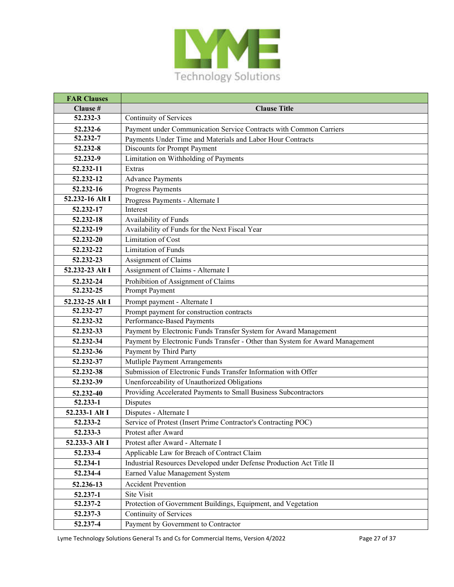

| <b>FAR Clauses</b> |                                                                               |
|--------------------|-------------------------------------------------------------------------------|
| Clause #           | <b>Clause Title</b>                                                           |
| 52.232-3           | <b>Continuity of Services</b>                                                 |
| 52.232-6           | Payment under Communication Service Contracts with Common Carriers            |
| 52.232-7           | Payments Under Time and Materials and Labor Hour Contracts                    |
| 52.232-8           | Discounts for Prompt Payment                                                  |
| 52.232-9           | Limitation on Withholding of Payments                                         |
| 52.232-11          | Extras                                                                        |
| 52.232-12          | <b>Advance Payments</b>                                                       |
| 52.232-16          | Progress Payments                                                             |
| 52.232-16 Alt I    | Progress Payments - Alternate I                                               |
| 52.232-17          | Interest                                                                      |
| 52.232-18          | Availability of Funds                                                         |
| 52.232-19          | Availability of Funds for the Next Fiscal Year                                |
| 52.232-20          | <b>Limitation of Cost</b>                                                     |
| 52.232-22          | <b>Limitation of Funds</b>                                                    |
| 52.232-23          | Assignment of Claims                                                          |
| 52.232-23 Alt I    | Assignment of Claims - Alternate I                                            |
| 52.232-24          | Prohibition of Assignment of Claims                                           |
| 52.232-25          | Prompt Payment                                                                |
| 52.232-25 Alt I    | Prompt payment - Alternate I                                                  |
| 52.232-27          | Prompt payment for construction contracts                                     |
| 52.232-32          | Performance-Based Payments                                                    |
| 52.232-33          | Payment by Electronic Funds Transfer System for Award Management              |
| 52.232-34          | Payment by Electronic Funds Transfer - Other than System for Award Management |
| 52.232-36          | Payment by Third Party                                                        |
| 52.232-37          | Mutliple Payment Arrangements                                                 |
| 52.232-38          | Submission of Electronic Funds Transfer Information with Offer                |
| 52.232-39          | Unenforceability of Unauthorized Obligations                                  |
| 52.232-40          | Providing Accelerated Payments to Small Business Subcontractors               |
| 52.233-1           | Disputes                                                                      |
| 52.233-1 Alt I     | Disputes - Alternate I                                                        |
| 52.233-2           | Service of Protest (Insert Prime Contractor's Contracting POC)                |
| 52.233-3           | Protest after Award                                                           |
| 52.233-3 Alt I     | Protest after Award - Alternate I                                             |
| 52.233-4           | Applicable Law for Breach of Contract Claim                                   |
| 52.234-1           | Industrial Resources Developed under Defense Production Act Title II          |
| 52.234-4           | Earned Value Management System                                                |
| 52.236-13          | <b>Accident Prevention</b>                                                    |
| 52.237-1           | Site Visit                                                                    |
| 52.237-2           | Protection of Government Buildings, Equipment, and Vegetation                 |
| 52.237-3           | Continuity of Services                                                        |
| 52.237-4           | Payment by Government to Contractor                                           |

Lyme Technology Solutions General Ts and Cs for Commercial Items, Version 4/2022 Page 27 of 37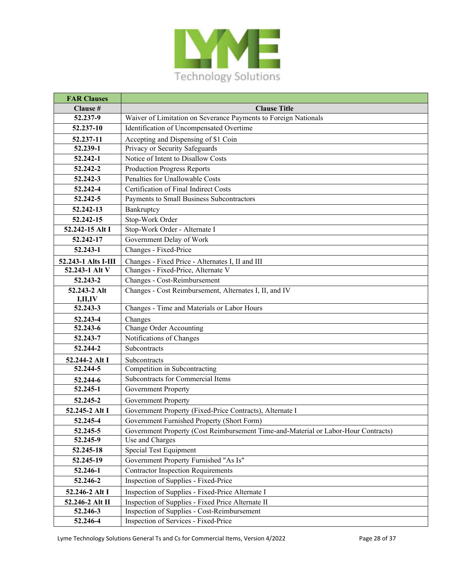

| <b>FAR Clauses</b>      |                                                                                    |
|-------------------------|------------------------------------------------------------------------------------|
| Clause #                | <b>Clause Title</b>                                                                |
| 52.237-9                | Waiver of Limitation on Severance Payments to Foreign Nationals                    |
| 52.237-10               | Identification of Uncompensated Overtime                                           |
| 52.237-11               | Accepting and Dispensing of \$1 Coin                                               |
| 52.239-1                | Privacy or Security Safeguards                                                     |
| 52.242-1                | Notice of Intent to Disallow Costs                                                 |
| 52.242-2                | <b>Production Progress Reports</b>                                                 |
| 52.242-3                | Penalties for Unallowable Costs                                                    |
| 52.242-4                | Certification of Final Indirect Costs                                              |
| 52.242-5                | Payments to Small Business Subcontractors                                          |
| 52.242-13               | Bankruptcy                                                                         |
| 52.242-15               | Stop-Work Order                                                                    |
| 52.242-15 Alt I         | Stop-Work Order - Alternate I                                                      |
| 52.242-17               | Government Delay of Work                                                           |
| 52.243-1                | Changes - Fixed-Price                                                              |
| 52.243-1 Alts I-III     | Changes - Fixed Price - Alternates I, II and III                                   |
| 52.243-1 Alt V          | Changes - Fixed-Price, Alternate V                                                 |
| 52.243-2                | Changes - Cost-Reimbursement                                                       |
| 52.243-2 Alt<br>I,II,IV | Changes - Cost Reimbursement, Alternates I, II, and IV                             |
| 52.243-3                | Changes - Time and Materials or Labor Hours                                        |
| 52.243-4                | Changes                                                                            |
| 52.243-6                | Change Order Accounting                                                            |
| 52.243-7                | Notifications of Changes                                                           |
| 52.244-2                | Subcontracts                                                                       |
| 52.244-2 Alt I          | Subcontracts                                                                       |
| 52.244-5                | Competition in Subcontracting                                                      |
| 52.244-6                | Subcontracts for Commercial Items                                                  |
| 52.245-1                | Government Property                                                                |
| 52.245-2                | <b>Government Property</b>                                                         |
| 52.245-2 Alt I          | Government Property (Fixed-Price Contracts), Alternate I                           |
| 52.245-4                | Government Furnished Property (Short Form)                                         |
| 52.245-5                | Government Property (Cost Reimbursement Time-and-Material or Labor-Hour Contracts) |
| 52.245-9                | Use and Charges                                                                    |
| 52.245-18               | Special Test Equipment                                                             |
| 52.245-19               | Government Property Furnished "As Is"                                              |
| 52.246-1                | <b>Contractor Inspection Requirements</b>                                          |
| 52.246-2                | Inspection of Supplies - Fixed-Price                                               |
| 52.246-2 Alt I          | Inspection of Supplies - Fixed-Price Alternate I                                   |
| 52.246-2 Alt II         | Inspection of Supplies - Fixed Price Alternate II                                  |
| 52.246-3                | Inspection of Supplies - Cost-Reimbursement                                        |
| 52.246-4                | Inspection of Services - Fixed-Price                                               |

Lyme Technology Solutions General Ts and Cs for Commercial Items, Version 4/2022 Page 28 of 37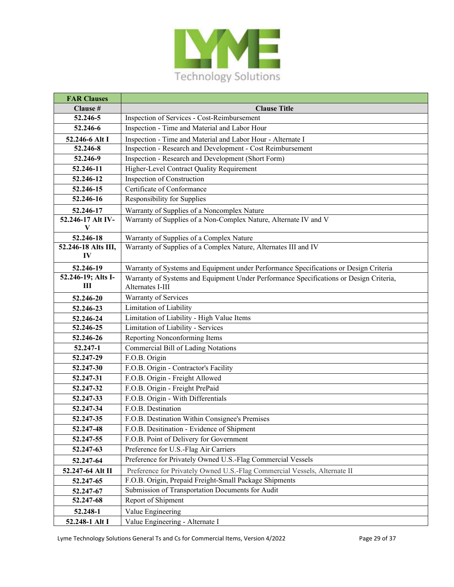

| <b>FAR Clauses</b>        |                                                                                        |
|---------------------------|----------------------------------------------------------------------------------------|
| Clause #                  | <b>Clause Title</b>                                                                    |
| 52.246-5                  | Inspection of Services - Cost-Reimbursement                                            |
| 52.246-6                  | Inspection - Time and Material and Labor Hour                                          |
| 52.246-6 Alt I            | Inspection - Time and Material and Labor Hour - Alternate I                            |
| 52.246-8                  | Inspection - Research and Development - Cost Reimbursement                             |
| 52.246-9                  | Inspection - Research and Development (Short Form)                                     |
| 52.246-11                 | Higher-Level Contract Quality Requirement                                              |
| 52.246-12                 | Inspection of Construction                                                             |
| 52.246-15                 | Certificate of Conformance                                                             |
| 52.246-16                 | Responsibility for Supplies                                                            |
| 52.246-17                 | Warranty of Supplies of a Noncomplex Nature                                            |
| 52.246-17 Alt IV-<br>V    | Warranty of Supplies of a Non-Complex Nature, Alternate IV and V                       |
| 52.246-18                 | Warranty of Supplies of a Complex Nature                                               |
| 52.246-18 Alts III,<br>IV | Warranty of Supplies of a Complex Nature, Alternates III and IV                        |
| 52.246-19                 | Warranty of Systems and Equipment under Performance Specifications or Design Criteria  |
| 52.246-19; Alts I-        | Warranty of Systems and Equipment Under Performance Specifications or Design Criteria, |
| Ш                         | Alternates I-III                                                                       |
| 52.246-20                 | Warranty of Services                                                                   |
| 52.246-23                 | Limitation of Liability                                                                |
| 52.246-24                 | Limitation of Liability - High Value Items                                             |
| 52.246-25                 | Limitation of Liability - Services                                                     |
| 52.246-26                 | Reporting Nonconforming Items                                                          |
| 52.247-1                  | Commercial Bill of Lading Notations                                                    |
| 52.247-29                 | F.O.B. Origin                                                                          |
| 52.247-30                 | F.O.B. Origin - Contractor's Facility                                                  |
| 52.247-31                 | F.O.B. Origin - Freight Allowed                                                        |
| 52.247-32                 | F.O.B. Origin - Freight PrePaid                                                        |
| 52.247-33                 | F.O.B. Origin - With Differentials                                                     |
| 52.247-34                 | F.O.B. Destination                                                                     |
| 52.247-35                 | F.O.B. Destination Within Consignee's Premises                                         |
| 52.247-48                 | F.O.B. Desitination - Evidence of Shipment                                             |
| 52.247-55                 | F.O.B. Point of Delivery for Government                                                |
| 52.247-63                 | Preference for U.S.-Flag Air Carriers                                                  |
| 52.247-64                 | Preference for Privately Owned U.S.-Flag Commercial Vessels                            |
| 52.247-64 Alt II          | Preference for Privately Owned U.S.-Flag Commercial Vessels, Alternate II              |
| 52.247-65                 | F.O.B. Origin, Prepaid Freight-Small Package Shipments                                 |
| 52.247-67                 | Submission of Transportation Documents for Audit                                       |
| 52.247-68                 | Report of Shipment                                                                     |
| 52.248-1                  | Value Engineering                                                                      |
| 52.248-1 Alt I            | Value Engineering - Alternate I                                                        |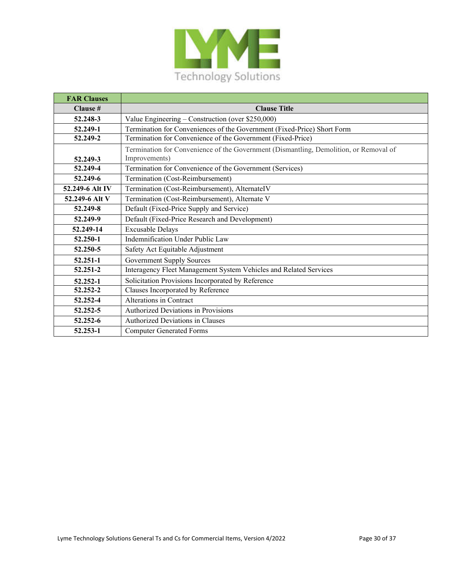

| <b>FAR Clauses</b> |                                                                                       |
|--------------------|---------------------------------------------------------------------------------------|
| Clause #           | <b>Clause Title</b>                                                                   |
| 52.248-3           | Value Engineering – Construction (over \$250,000)                                     |
| 52.249-1           | Termination for Conveniences of the Government (Fixed-Price) Short Form               |
| 52.249-2           | Termination for Convenience of the Government (Fixed-Price)                           |
|                    | Termination for Convenience of the Government (Dismantling, Demolition, or Removal of |
| 52.249-3           | Improvements)                                                                         |
| 52.249-4           | Termination for Convenience of the Government (Services)                              |
| 52.249-6           | Termination (Cost-Reimbursement)                                                      |
| 52.249-6 Alt IV    | Termination (Cost-Reimbursement), AlternateIV                                         |
| 52.249-6 Alt V     | Termination (Cost-Reimbursement), Alternate V                                         |
| 52.249-8           | Default (Fixed-Price Supply and Service)                                              |
| 52.249-9           | Default (Fixed-Price Research and Development)                                        |
| 52.249-14          | <b>Excusable Delays</b>                                                               |
| 52.250-1           | Indemnification Under Public Law                                                      |
| 52.250-5           | Safety Act Equitable Adjustment                                                       |
| 52.251-1           | <b>Government Supply Sources</b>                                                      |
| 52.251-2           | Interagency Fleet Management System Vehicles and Related Services                     |
| 52.252-1           | Solicitation Provisions Incorporated by Reference                                     |
| 52.252-2           | Clauses Incorporated by Reference                                                     |
| 52.252-4           | Alterations in Contract                                                               |
| 52.252-5           | Authorized Deviations in Provisions                                                   |
| 52.252-6           | Authorized Deviations in Clauses                                                      |
| 52.253-1           | <b>Computer Generated Forms</b>                                                       |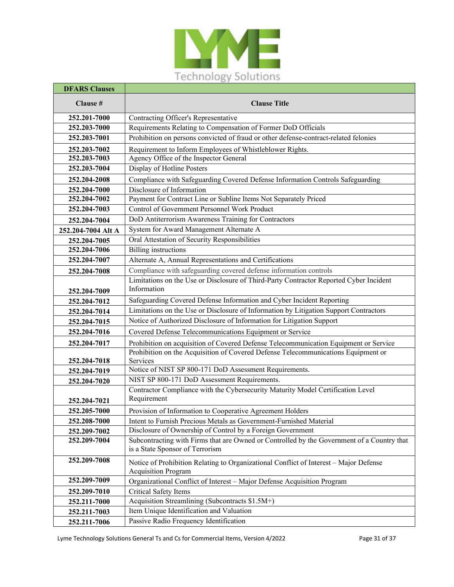

| <b>DFARS Clauses</b>      |                                                                                                                     |
|---------------------------|---------------------------------------------------------------------------------------------------------------------|
| Clause #                  | <b>Clause Title</b>                                                                                                 |
| $252.20\overline{1-7000}$ | Contracting Officer's Representative                                                                                |
| 252.203-7000              | Requirements Relating to Compensation of Former DoD Officials                                                       |
| 252.203-7001              | Prohibition on persons convicted of fraud or other defense-contract-related felonies                                |
| 252.203-7002              | Requirement to Inform Employees of Whistleblower Rights.                                                            |
| 252.203-7003              | Agency Office of the Inspector General                                                                              |
| 252.203-7004              | Display of Hotline Posters                                                                                          |
| 252.204-2008              | Compliance with Safeguarding Covered Defense Information Controls Safeguarding                                      |
| 252.204-7000              | Disclosure of Information                                                                                           |
| 252.204-7002              | Payment for Contract Line or Subline Items Not Separately Priced                                                    |
| 252.204-7003              | Control of Government Personnel Work Product                                                                        |
| 252.204-7004              | DoD Antiterrorism Awareness Training for Contractors                                                                |
| 252.204-7004 Alt A        | System for Award Management Alternate A                                                                             |
| 252.204-7005              | Oral Attestation of Security Responsibilities                                                                       |
| 252.204-7006              | <b>Billing</b> instructions                                                                                         |
| 252.204-7007              | Alternate A, Annual Representations and Certifications                                                              |
| 252.204-7008              | Compliance with safeguarding covered defense information controls                                                   |
|                           | Limitations on the Use or Disclosure of Third-Party Contractor Reported Cyber Incident                              |
| 252.204-7009              | Information                                                                                                         |
| 252.204-7012              | Safeguarding Covered Defense Information and Cyber Incident Reporting                                               |
| 252.204-7014              | Limitations on the Use or Disclosure of Information by Litigation Support Contractors                               |
| 252.204-7015              | Notice of Authorized Disclosure of Information for Litigation Support                                               |
| 252.204-7016              | Covered Defense Telecommunications Equipment or Service                                                             |
| 252.204-7017              | Prohibition on acquisition of Covered Defense Telecommunication Equipment or Service                                |
| 252.204-7018              | Prohibition on the Acquisition of Covered Defense Telecommunications Equipment or<br>Services                       |
| 252.204-7019              | Notice of NIST SP 800-171 DoD Assessment Requirements.                                                              |
| 252.204-7020              | NIST SP 800-171 DoD Assessment Requirements.                                                                        |
|                           | Contractor Compliance with the Cybersecurity Maturity Model Certification Level                                     |
| 252.204-7021              | Requirement                                                                                                         |
| 252.205-7000              | Provision of Information to Cooperative Agreement Holders                                                           |
| 252.208-7000              | Intent to Furnish Precious Metals as Government-Furnished Material                                                  |
| 252.209-7002              | Disclosure of Ownership of Control by a Foreign Government                                                          |
| 252.209-7004              | Subcontracting with Firms that are Owned or Controlled by the Government of a Country that                          |
|                           | is a State Sponsor of Terrorism                                                                                     |
| 252.209-7008              | Notice of Prohibition Relating to Organizational Conflict of Interest - Major Defense<br><b>Acquisition Program</b> |
| 252.209-7009              | Organizational Conflict of Interest - Major Defense Acquisition Program                                             |
| 252.209-7010              | Critical Safety Items                                                                                               |
| 252.211-7000              | Acquisition Streamlining (Subcontracts \$1.5M+)                                                                     |
| 252.211-7003              | Item Unique Identification and Valuation                                                                            |
| 252.211-7006              | Passive Radio Frequency Identification                                                                              |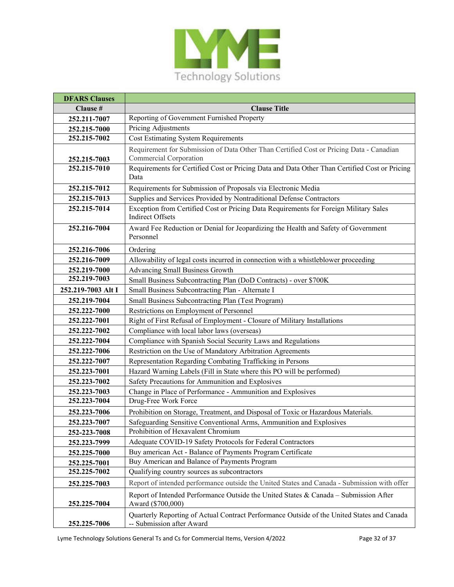

| <b>DFARS Clauses</b> |                                                                                                                         |
|----------------------|-------------------------------------------------------------------------------------------------------------------------|
| Clause #             | <b>Clause Title</b>                                                                                                     |
| 252.211-7007         | Reporting of Government Furnished Property                                                                              |
| 252.215-7000         | Pricing Adjustments                                                                                                     |
| 252.215-7002         | <b>Cost Estimating System Requirements</b>                                                                              |
|                      | Requirement for Submission of Data Other Than Certified Cost or Pricing Data - Canadian                                 |
| 252.215-7003         | Commercial Corporation                                                                                                  |
| 252.215-7010         | Requirements for Certified Cost or Pricing Data and Data Other Than Certified Cost or Pricing<br>Data                   |
| 252.215-7012         | Requirements for Submission of Proposals via Electronic Media                                                           |
| 252.215-7013         | Supplies and Services Provided by Nontraditional Defense Contractors                                                    |
| 252.215-7014         | Exception from Certified Cost or Pricing Data Requirements for Foreign Military Sales<br><b>Indirect Offsets</b>        |
| 252.216-7004         | Award Fee Reduction or Denial for Jeopardizing the Health and Safety of Government<br>Personnel                         |
| 252.216-7006         | Ordering                                                                                                                |
| 252.216-7009         | Allowability of legal costs incurred in connection with a whistleblower proceeding                                      |
| 252.219-7000         | Advancing Small Business Growth                                                                                         |
| 252.219-7003         | Small Business Subcontracting Plan (DoD Contracts) - over \$700K                                                        |
| 252.219-7003 Alt I   | Small Business Subcontracting Plan - Alternate I                                                                        |
| 252.219-7004         | Small Business Subcontracting Plan (Test Program)                                                                       |
| 252.222-7000         | Restrictions on Employment of Personnel                                                                                 |
| 252.222-7001         | Right of First Refusal of Employment - Closure of Military Installations                                                |
| 252.222-7002         | Compliance with local labor laws (overseas)                                                                             |
| 252.222-7004         | Compliance with Spanish Social Security Laws and Regulations                                                            |
| 252.222-7006         | Restriction on the Use of Mandatory Arbitration Agreements                                                              |
| 252.222-7007         | Representation Regarding Combating Trafficking in Persons                                                               |
| 252.223-7001         | Hazard Warning Labels (Fill in State where this PO will be performed)                                                   |
| 252.223-7002         | Safety Precautions for Ammunition and Explosives                                                                        |
| 252.223-7003         | Change in Place of Performance - Ammunition and Explosives                                                              |
| 252.223-7004         | Drug-Free Work Force                                                                                                    |
| 252.223-7006         | Prohibition on Storage, Treatment, and Disposal of Toxic or Hazardous Materials.                                        |
| 252.223-7007         | Safeguarding Sensitive Conventional Arms, Ammunition and Explosives                                                     |
| 252-223-7008         | Prohibition of Hexavalent Chromium                                                                                      |
| 252.223-7999         | Adequate COVID-19 Safety Protocols for Federal Contractors                                                              |
| 252.225-7000         | Buy american Act - Balance of Payments Program Certificate                                                              |
| 252.225-7001         | Buy American and Balance of Payments Program                                                                            |
| 252.225-7002         | Qualifying country sources as subcontractors                                                                            |
| 252.225-7003         | Report of intended performance outside the United States and Canada - Submission with offer                             |
| 252.225-7004         | Report of Intended Performance Outside the United States & Canada - Submission After<br>Award (\$700,000)               |
| 252.225-7006         | Quarterly Reporting of Actual Contract Performance Outside of the United States and Canada<br>-- Submission after Award |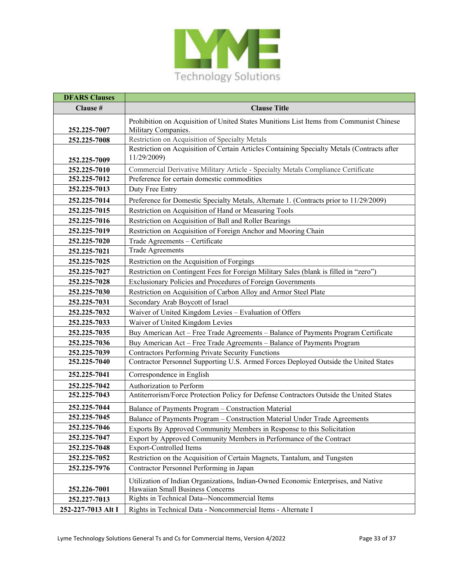

| <b>DFARS Clauses</b> |                                                                                                                |
|----------------------|----------------------------------------------------------------------------------------------------------------|
| Clause #             | <b>Clause Title</b>                                                                                            |
| 252.225-7007         | Prohibition on Acquisition of United States Munitions List Items from Communist Chinese<br>Military Companies. |
| 252.225-7008         | Restriction on Acquisition of Specialty Metals                                                                 |
|                      | Restriction on Acquisition of Certain Articles Containing Specialty Metals (Contracts after                    |
| 252.225-7009         | 11/29/2009)                                                                                                    |
| 252.225-7010         | Commercial Derivative Military Article - Specialty Metals Compliance Certificate                               |
| 252.225-7012         | Preference for certain domestic commodities                                                                    |
| 252.225-7013         | Duty Free Entry                                                                                                |
| 252.225-7014         | Preference for Domestic Specialty Metals, Alternate 1. (Contracts prior to 11/29/2009)                         |
| 252.225-7015         | Restriction on Acquisition of Hand or Measuring Tools                                                          |
| 252.225-7016         | Restriction on Acquisition of Ball and Roller Bearings                                                         |
| 252.225-7019         | Restriction on Acquisition of Foreign Anchor and Mooring Chain                                                 |
| 252.225-7020         | Trade Agreements - Certificate                                                                                 |
| 252.225-7021         | <b>Trade Agreements</b>                                                                                        |
| 252.225-7025         | Restriction on the Acquisition of Forgings                                                                     |
| 252.225-7027         | Restriction on Contingent Fees for Foreign Military Sales (blank is filled in "zero")                          |
| 252.225-7028         | Exclusionary Policies and Procedures of Foreign Governments                                                    |
| 252.225-7030         | Restriction on Acquisition of Carbon Alloy and Armor Steel Plate                                               |
| 252.225-7031         | Secondary Arab Boycott of Israel                                                                               |
| 252.225-7032         | Waiver of United Kingdom Levies - Evaluation of Offers                                                         |
| 252.225-7033         | Waiver of United Kingdom Levies                                                                                |
| 252.225-7035         | Buy American Act - Free Trade Agreements - Balance of Payments Program Certificate                             |
| 252.225-7036         | Buy American Act - Free Trade Agreements - Balance of Payments Program                                         |
| 252.225-7039         | <b>Contractors Performing Private Security Functions</b>                                                       |
| 252.225-7040         | Contractor Personnel Supporting U.S. Armed Forces Deployed Outside the United States                           |
| 252.225-7041         | Correspondence in English                                                                                      |
| 252.225-7042         | Authorization to Perform                                                                                       |
| 252.225-7043         | Antiterrorism/Force Protection Policy for Defense Contractors Outside the United States                        |
| 252.225-7044         | Balance of Payments Program - Construction Material                                                            |
| 252.225-7045         | Balance of Payments Program - Construction Material Under Trade Agreements                                     |
| 252.225-7046         | Exports By Approved Community Members in Response to this Solicitation                                         |
| 252.225-7047         | Export by Approved Community Members in Performance of the Contract                                            |
| 252.225-7048         | <b>Export-Controlled Items</b>                                                                                 |
| 252.225-7052         | Restriction on the Acquisition of Certain Magnets, Tantalum, and Tungsten                                      |
| 252.225-7976         | Contractor Personnel Performing in Japan                                                                       |
|                      | Utilization of Indian Organizations, Indian-Owned Economic Enterprises, and Native                             |
| 252.226-7001         | Hawaiian Small Business Concerns                                                                               |
| 252.227-7013         | Rights in Technical Data--Noncommercial Items                                                                  |
| 252-227-7013 Alt I   | Rights in Technical Data - Noncommercial Items - Alternate I                                                   |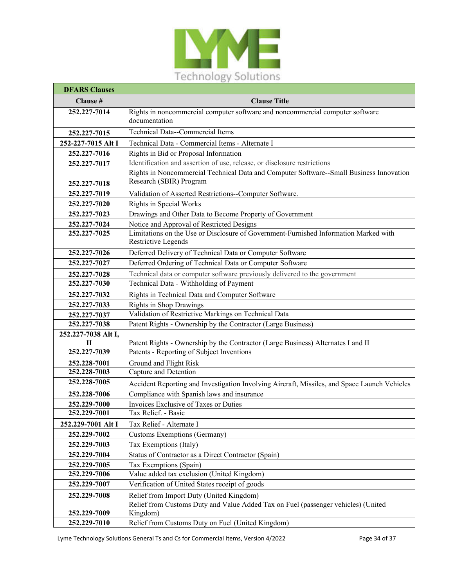

| <b>DFARS Clauses</b>     |                                                                                                                    |
|--------------------------|--------------------------------------------------------------------------------------------------------------------|
| Clause #                 | <b>Clause Title</b>                                                                                                |
| 252.227-7014             | Rights in noncommercial computer software and noncommercial computer software<br>documentation                     |
| 252.227-7015             | Technical Data--Commercial Items                                                                                   |
| 252-227-7015 Alt I       | Technical Data - Commercial Items - Alternate I                                                                    |
| 252.227-7016             | Rights in Bid or Proposal Information                                                                              |
| 252.227-7017             | Identification and assertion of use, release, or disclosure restrictions                                           |
| 252.227-7018             | Rights in Noncommercial Technical Data and Computer Software--Small Business Innovation<br>Research (SBIR) Program |
| 252.227-7019             | Validation of Asserted Restrictions--Computer Software.                                                            |
| 252.227-7020             | <b>Rights in Special Works</b>                                                                                     |
| 252.227-7023             | Drawings and Other Data to Become Property of Government                                                           |
| 252.227-7024             | Notice and Approval of Restricted Designs                                                                          |
| 252.227-7025             | Limitations on the Use or Disclosure of Government-Furnished Information Marked with<br>Restrictive Legends        |
| 252.227-7026             | Deferred Delivery of Technical Data or Computer Software                                                           |
| 252.227-7027             | Deferred Ordering of Technical Data or Computer Software                                                           |
| 252.227-7028             | Technical data or computer software previously delivered to the government                                         |
| 252.227-7030             | Technical Data - Withholding of Payment                                                                            |
| 252.227-7032             | Rights in Technical Data and Computer Software                                                                     |
| 252.227-7033             | <b>Rights in Shop Drawings</b>                                                                                     |
| 252.227-7037             | Validation of Restrictive Markings on Technical Data                                                               |
| 252.227-7038             | Patent Rights - Ownership by the Contractor (Large Business)                                                       |
| 252.227-7038 Alt I,<br>П | Patent Rights - Ownership by the Contractor (Large Business) Alternates I and II                                   |
| 252.227-7039             | Patents - Reporting of Subject Inventions                                                                          |
| 252.228-7001             | Ground and Flight Risk                                                                                             |
| 252.228-7003             | Capture and Detention                                                                                              |
| 252.228-7005             | Accident Reporting and Investigation Involving Aircraft, Missiles, and Space Launch Vehicles                       |
| 252.228-7006             | Compliance with Spanish laws and insurance                                                                         |
| 252.229-7000             | Invoices Exclusive of Taxes or Duties                                                                              |
| 252.229-7001             | Tax Relief. - Basic                                                                                                |
| 252.229-7001 Alt I       | Tax Relief - Alternate I                                                                                           |
| 252.229-7002             | <b>Customs Exemptions (Germany)</b>                                                                                |
| 252.229-7003             | Tax Exemptions (Italy)                                                                                             |
| 252.229-7004             | Status of Contractor as a Direct Contractor (Spain)                                                                |
| 252.229-7005             | Tax Exemptions (Spain)                                                                                             |
| 252.229-7006             | Value added tax exclusion (United Kingdom)                                                                         |
| 252.229-7007             | Verification of United States receipt of goods                                                                     |
| 252.229-7008             | Relief from Import Duty (United Kingdom)                                                                           |
|                          | Relief from Customs Duty and Value Added Tax on Fuel (passenger vehicles) (United                                  |
| 252.229-7009             | Kingdom)                                                                                                           |
| 252.229-7010             | Relief from Customs Duty on Fuel (United Kingdom)                                                                  |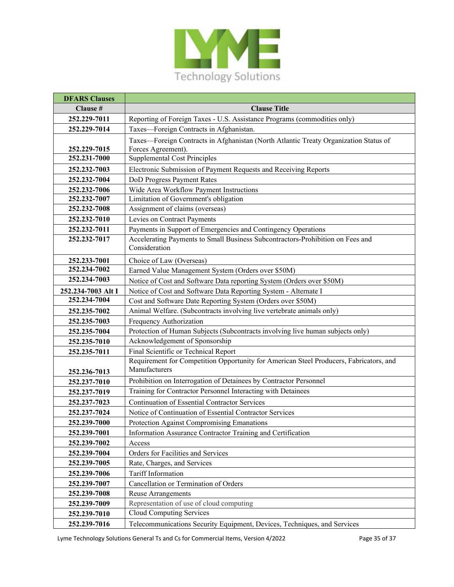

| <b>DFARS Clauses</b> |                                                                                        |
|----------------------|----------------------------------------------------------------------------------------|
| Clause #             | <b>Clause Title</b>                                                                    |
| 252.229-7011         | Reporting of Foreign Taxes - U.S. Assistance Programs (commodities only)               |
| 252.229-7014         | Taxes-Foreign Contracts in Afghanistan.                                                |
|                      | Taxes-Foreign Contracts in Afghanistan (North Atlantic Treaty Organization Status of   |
| 252.229-7015         | Forces Agreement).                                                                     |
| 252.231-7000         | <b>Supplemental Cost Principles</b>                                                    |
| 252.232-7003         | Electronic Submission of Payment Requests and Receiving Reports                        |
| 252.232-7004         | DoD Progress Payment Rates                                                             |
| 252.232-7006         | Wide Area Workflow Payment Instructions                                                |
| 252.232-7007         | Limitation of Government's obligation                                                  |
| 252.232-7008         | Assignment of claims (overseas)                                                        |
| 252.232-7010         | Levies on Contract Payments                                                            |
| 252.232-7011         | Payments in Support of Emergencies and Contingency Operations                          |
| 252.232-7017         | Accelerating Payments to Small Business Subcontractors-Prohibition on Fees and         |
|                      | Consideration                                                                          |
| 252.233-7001         | Choice of Law (Overseas)                                                               |
| 252.234-7002         | Earned Value Management System (Orders over \$50M)                                     |
| 252.234-7003         | Notice of Cost and Software Data reporting System (Orders over \$50M)                  |
| 252.234-7003 Alt I   | Notice of Cost and Software Data Reporting System - Alternate I                        |
| 252.234-7004         | Cost and Software Date Reporting System (Orders over \$50M)                            |
| 252.235-7002         | Animal Welfare. (Subcontracts involving live vertebrate animals only)                  |
| 252.235-7003         | Frequency Authorization                                                                |
| 252.235-7004         | Protection of Human Subjects (Subcontracts involving live human subjects only)         |
| 252.235-7010         | Acknowledgement of Sponsorship                                                         |
| 252.235-7011         | Final Scientific or Technical Report                                                   |
|                      | Requirement for Competition Opportunity for American Steel Producers, Fabricators, and |
| 252.236-7013         | Manufacturers                                                                          |
| 252.237-7010         | Prohibition on Interrogation of Detainees by Contractor Personnel                      |
| 252.237-7019         | Training for Contractor Personnel Interacting with Detainees                           |
| 252.237-7023         | <b>Continuation of Essential Contractor Services</b>                                   |
| 252.237-7024         | Notice of Continuation of Essential Contractor Services                                |
| 252.239-7000         | Protection Against Compromising Emanations                                             |
| 252.239-7001         | Information Assurance Contractor Training and Certification                            |
| 252.239-7002         | Access                                                                                 |
| 252.239-7004         | Orders for Facilities and Services                                                     |
| 252.239-7005         | Rate, Charges, and Services                                                            |
| 252.239-7006         | Tariff Information                                                                     |
| 252.239-7007         | Cancellation or Termination of Orders                                                  |
| 252.239-7008         | <b>Reuse Arrangements</b>                                                              |
| 252.239-7009         | Representation of use of cloud computing                                               |
| 252.239-7010         | Cloud Computing Services                                                               |
| 252.239-7016         | Telecommunications Security Equipment, Devices, Techniques, and Services               |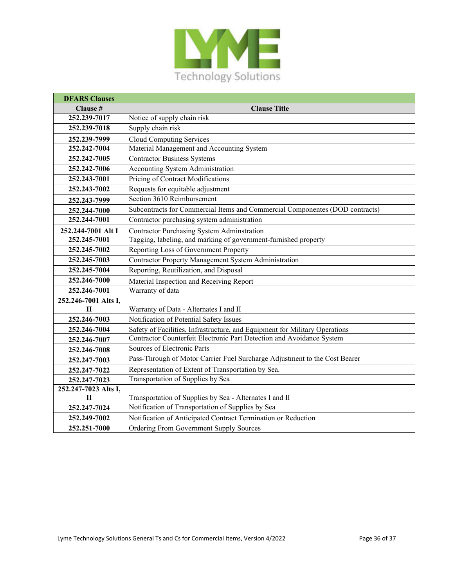

| <b>DFARS Clauses</b> |                                                                              |
|----------------------|------------------------------------------------------------------------------|
| Clause #             | <b>Clause Title</b>                                                          |
| 252.239-7017         | Notice of supply chain risk                                                  |
| 252.239-7018         | Supply chain risk                                                            |
| 252.239-7999         | <b>Cloud Computing Services</b>                                              |
| 252.242-7004         | Material Management and Accounting System                                    |
| 252.242-7005         | <b>Contractor Business Systems</b>                                           |
| 252.242-7006         | <b>Accounting System Administration</b>                                      |
| 252.243-7001         | Pricing of Contract Modifications                                            |
| 252.243-7002         | Requests for equitable adjustment                                            |
| 252.243-7999         | Section 3610 Reimbursement                                                   |
| 252.244-7000         | Subcontracts for Commercial Items and Commercial Componentes (DOD contracts) |
| 252.244-7001         | Contractor purchasing system administration                                  |
| 252.244-7001 Alt I   | <b>Contractor Purchasing System Adminstration</b>                            |
| 252.245-7001         | Tagging, labeling, and marking of government-furnished property              |
| 252.245-7002         | Reporting Loss of Government Property                                        |
| 252.245-7003         | Contractor Property Management System Administration                         |
| 252.245-7004         | Reporting, Reutilization, and Disposal                                       |
| 252.246-7000         | Material Inspection and Receiving Report                                     |
| 252.246-7001         | Warranty of data                                                             |
| 252.246-7001 Alts I, |                                                                              |
| $\mathbf{H}$         | Warranty of Data - Alternates I and II                                       |
| 252.246-7003         | Notification of Potential Safety Issues                                      |
| 252.246-7004         | Safety of Facilities, Infrastructure, and Equipment for Military Operations  |
| 252.246-7007         | Contractor Counterfeit Electronic Part Detection and Avoidance System        |
| 252.246-7008         | Sources of Electronic Parts                                                  |
| 252.247-7003         | Pass-Through of Motor Carrier Fuel Surcharge Adjustment to the Cost Bearer   |
| 252.247-7022         | Representation of Extent of Transportation by Sea.                           |
| 252.247-7023         | Transportation of Supplies by Sea                                            |
| 252.247-7023 Alts I, |                                                                              |
| П                    | Transportation of Supplies by Sea - Alternates I and II                      |
| 252.247-7024         | Notification of Transportation of Supplies by Sea                            |
| 252.249-7002         | Notification of Anticipated Contract Termination or Reduction                |
| 252.251-7000         | Ordering From Government Supply Sources                                      |